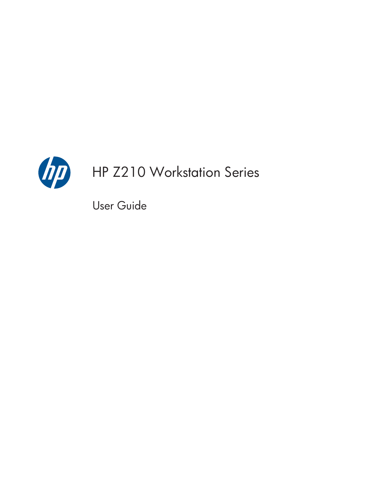

# HP Z210 Workstation Series

User Guide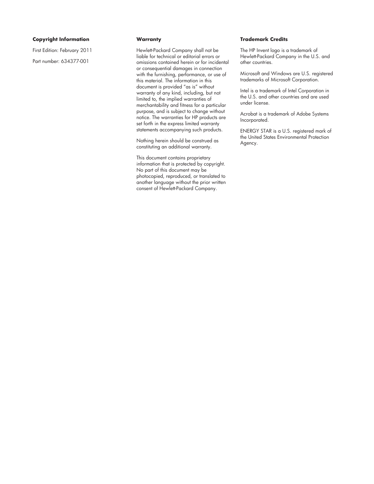#### **Copyright Information**

First Edition: February 2011

Part number: 634377-001

#### **Warranty**

Hewlett-Packard Company shall not be liable for technical or editorial errors or omissions contained herein or for incidental or consequential damages in connection with the furnishing, performance, or use of this material. The information in this document is provided "as is" without warranty of any kind, including, but not limited to, the implied warranties of merchantability and fitness for a particular purpose, and is subject to change without notice. The warranties for HP products are set forth in the express limited warranty statements accompanying such products.

Nothing herein should be construed as constituting an additional warranty.

This document contains proprietary information that is protected by copyright. No part of this document may be photocopied, reproduced, or translated to another language without the prior written consent of Hewlett-Packard Company.

#### **Trademark Credits**

The HP Invent logo is a trademark of Hewlett-Packard Company in the U.S. and other countries.

Microsoft and Windows are U.S. registered trademarks of Microsoft Corporation.

Intel is a trademark of Intel Corporation in the U.S. and other countries and are used under license.

Acrobat is a trademark of Adobe Systems Incorporated.

ENERGY STAR is a U.S. registered mark of the United States Environmental Protection Agency.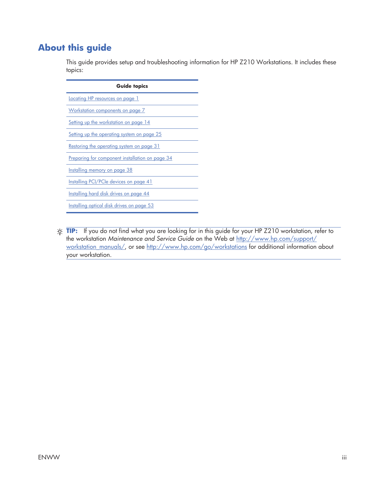### **About this guide**

This guide provides setup and troubleshooting information for HP Z210 Workstations. It includes these topics:

| <b>Guide topics</b>                             |  |  |
|-------------------------------------------------|--|--|
| Locating HP resources on page 1                 |  |  |
| Workstation components on page 7                |  |  |
| Setting up the workstation on page 14           |  |  |
| Setting up the operating system on page 25      |  |  |
| Restoring the operating system on page 31       |  |  |
| Preparing for component installation on page 34 |  |  |
| Installing memory on page 38                    |  |  |
| Installing PCI/PCIe devices on page 41          |  |  |
| Installing hard disk drives on page 44          |  |  |

Installing optical disk drives on page 53

 $\frac{1}{2}$  TIP: If you do not find what you are looking for in this guide for your HP Z210 workstation, refer to the workstation *Maintenance and Service Guide* on the Web at http://www.hp.com/support/ workstation\_manuals/, or see http://www.hp.com/go/workstations for additional information about your workstation.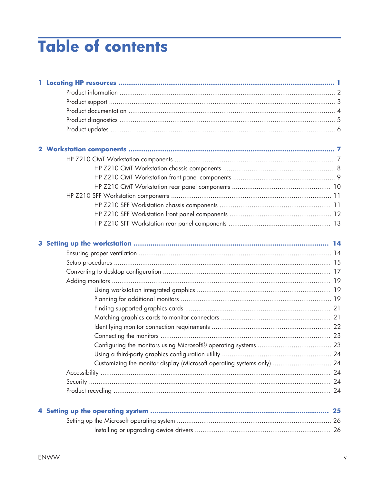# **Table of contents**

| Customizing the monitor display (Microsoft operating systems only)  24 |  |
|------------------------------------------------------------------------|--|
|                                                                        |  |
|                                                                        |  |
|                                                                        |  |
|                                                                        |  |
|                                                                        |  |
|                                                                        |  |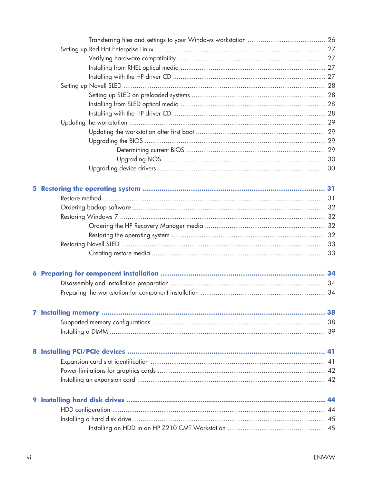| 5. |  |
|----|--|
|    |  |
|    |  |
|    |  |
|    |  |
|    |  |
|    |  |
|    |  |
|    |  |
|    |  |
|    |  |
|    |  |
|    |  |
|    |  |
|    |  |
|    |  |
|    |  |
|    |  |
|    |  |
|    |  |
|    |  |
|    |  |
|    |  |
|    |  |
|    |  |
|    |  |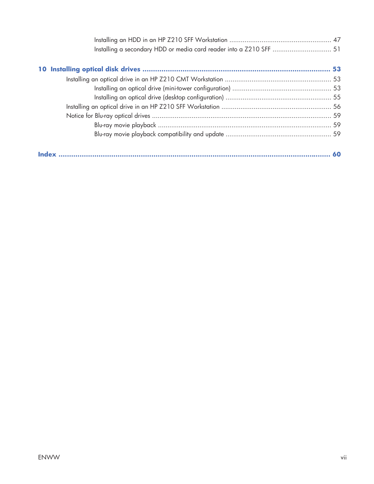| Installing a secondary HDD or media card reader into a Z210 SFF  51 |  |
|---------------------------------------------------------------------|--|
|                                                                     |  |
|                                                                     |  |
|                                                                     |  |
|                                                                     |  |
|                                                                     |  |
|                                                                     |  |
|                                                                     |  |
|                                                                     |  |
|                                                                     |  |
|                                                                     |  |
|                                                                     |  |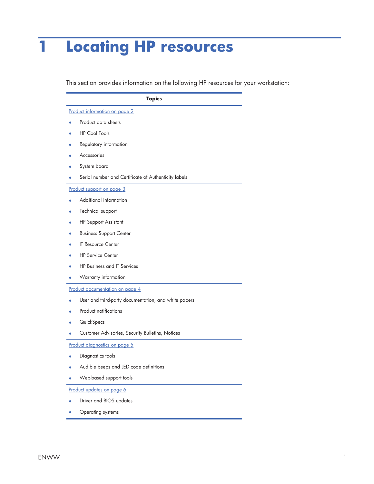# **1 Locating HP resources**

This section provides information on the following HP resources for your workstation:

|                           | <b>Topics</b>                                        |  |
|---------------------------|------------------------------------------------------|--|
|                           | Product information on page 2                        |  |
|                           | Product data sheets                                  |  |
|                           | <b>HP Cool Tools</b>                                 |  |
|                           | Regulatory information                               |  |
|                           | Accessories                                          |  |
|                           | System board                                         |  |
|                           | Serial number and Certificate of Authenticity labels |  |
|                           | Product support on page 3                            |  |
|                           | Additional information                               |  |
|                           | Technical support                                    |  |
|                           | <b>HP Support Assistant</b>                          |  |
|                           | <b>Business Support Center</b>                       |  |
|                           | <b>IT Resource Center</b>                            |  |
|                           | <b>HP Service Center</b>                             |  |
|                           | <b>HP Business and IT Services</b>                   |  |
|                           | Warranty information                                 |  |
|                           | Product documentation on page 4                      |  |
|                           | User and third-party documentation, and white papers |  |
|                           | <b>Product notifications</b>                         |  |
|                           | QuickSpecs                                           |  |
|                           | Customer Advisories, Security Bulletins, Notices     |  |
|                           | <u>Product diagnostics on page 5</u>                 |  |
|                           | Diagnostics tools                                    |  |
|                           | Audible beeps and LED code definitions               |  |
|                           | Web-based support tools                              |  |
| Product updates on page 6 |                                                      |  |
|                           | Driver and BIOS updates                              |  |
|                           |                                                      |  |

Operating systems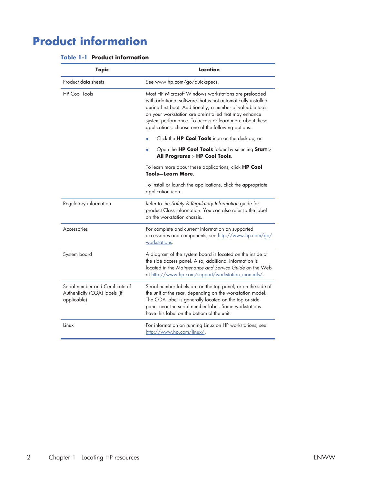# **Product information**

| <b>Table 1-1 Product information</b> |  |
|--------------------------------------|--|
|--------------------------------------|--|

| <b>Topic</b>                                                                     | Location                                                                                                                                                                                                                                                                                                                                                      |  |
|----------------------------------------------------------------------------------|---------------------------------------------------------------------------------------------------------------------------------------------------------------------------------------------------------------------------------------------------------------------------------------------------------------------------------------------------------------|--|
| Product data sheets                                                              | See www.hp.com/go/quickspecs.                                                                                                                                                                                                                                                                                                                                 |  |
| <b>HP Cool Tools</b>                                                             | Most HP Microsoft Windows workstations are preloaded<br>with additional software that is not automatically installed<br>during first boot. Additionally, a number of valuable tools<br>on your workstation are preinstalled that may enhance<br>system performance. To access or learn more about these<br>applications, choose one of the following options: |  |
|                                                                                  | Click the HP Cool Tools icon on the desktop, or                                                                                                                                                                                                                                                                                                               |  |
|                                                                                  | Open the <b>HP Cool Tools</b> folder by selecting <b>Start</b> ><br>All Programs > HP Cool Tools.                                                                                                                                                                                                                                                             |  |
|                                                                                  | To learn more about these applications, click HP Cool<br>Tools-Learn More.                                                                                                                                                                                                                                                                                    |  |
|                                                                                  | To install or launch the applications, click the appropriate<br>application icon.                                                                                                                                                                                                                                                                             |  |
| Regulatory information                                                           | Refer to the Safety & Regulatory Information guide for<br>product Class information. You can also refer to the label<br>on the workstation chassis.                                                                                                                                                                                                           |  |
| Accessories                                                                      | For complete and current information on supported<br>accessories and components, see http://www.hp.com/go/<br>workstations.                                                                                                                                                                                                                                   |  |
| System board                                                                     | A diagram of the system board is located on the inside of<br>the side access panel. Also, additional information is<br>located in the Maintenance and Service Guide on the Web<br>at http://www.hp.com/support/workstation_manuals/.                                                                                                                          |  |
| Serial number and Certificate of<br>Authenticity (COA) labels (if<br>applicable) | Serial number labels are on the top panel, or on the side of<br>the unit at the rear, depending on the workstation model.<br>The COA label is generally located on the top or side<br>panel near the serial number label. Some workstations<br>have this label on the bottom of the unit.                                                                     |  |
| Linux                                                                            | For information on running Linux on HP workstations, see<br>http://www.hp.com/linux/.                                                                                                                                                                                                                                                                         |  |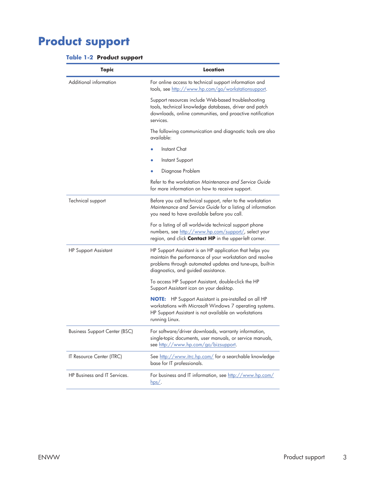# **Product support**

|  |  | <b>Table 1-2 Product support</b> |  |
|--|--|----------------------------------|--|
|--|--|----------------------------------|--|

| <b>Topic</b>                         | Location                                                                                                                                                                                                                 |  |
|--------------------------------------|--------------------------------------------------------------------------------------------------------------------------------------------------------------------------------------------------------------------------|--|
| Additional information               | For online access to technical support information and<br>tools, see http://www.hp.com/go/workstationsupport.                                                                                                            |  |
|                                      | Support resources include Web-based troubleshooting<br>tools, technical knowledge databases, driver and patch<br>downloads, online communities, and proactive notification<br>services.                                  |  |
|                                      | The following communication and diagnostic tools are also<br>available:                                                                                                                                                  |  |
|                                      | Instant Chat                                                                                                                                                                                                             |  |
|                                      | <b>Instant Support</b>                                                                                                                                                                                                   |  |
|                                      | Diagnose Problem                                                                                                                                                                                                         |  |
|                                      | Refer to the workstation Maintenance and Service Guide<br>for more information on how to receive support.                                                                                                                |  |
| Technical support                    | Before you call technical support, refer to the workstation<br>Maintenance and Service Guide for a listing of information<br>you need to have available before you call.                                                 |  |
|                                      | For a listing of all worldwide technical support phone<br>numbers, see http://www.hp.com/support/, select your<br>region, and click <b>Contact HP</b> in the upper-left corner.                                          |  |
| <b>HP Support Assistant</b>          | HP Support Assistant is an HP application that helps you<br>maintain the performance of your workstation and resolve<br>problems through automated updates and tune-ups, built-in<br>diagnostics, and guided assistance. |  |
|                                      | To access HP Support Assistant, double-click the HP<br>Support Assistant icon on your desktop.                                                                                                                           |  |
|                                      | <b>NOTE:</b> HP Support Assistant is pre-installed on all HP<br>workstations with Microsoft Windows 7 operating systems.<br>HP Support Assistant is not available on workstations<br>running Linux.                      |  |
| <b>Business Support Center (BSC)</b> | For software/driver downloads, warranty information,<br>single-topic documents, user manuals, or service manuals,<br>see http://www.hp.com/go/bizsupport.                                                                |  |
| IT Resource Center (ITRC)            | See http://www.itrc.hp.com/ for a searchable knowledge<br>base for IT professionals.                                                                                                                                     |  |
| HP Business and IT Services.         | For business and IT information, see http://www.hp.com/<br>$hps/$ .                                                                                                                                                      |  |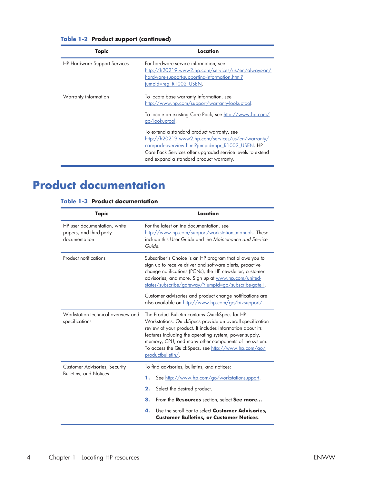| <b>Topic</b>                        | Location                                                                                                                                                                                                              |
|-------------------------------------|-----------------------------------------------------------------------------------------------------------------------------------------------------------------------------------------------------------------------|
| <b>HP Hardware Support Services</b> | For hardware service information, see<br>http://h20219.www2.hp.com/services/us/en/always-on/<br>hardware-support-supporting-information.html?<br>jumpid=reg R1002 USEN.                                               |
| Warranty information                | To locate base warranty information, see<br>http://www.hp.com/support/warranty-lookuptool.<br>To locate an existing Care Pack, see http://www.hp.com/<br>go/lookuptool.<br>To extend a standard product warranty, see |
|                                     | http://h20219.www2.hp.com/services/us/en/warranty/<br>carepack-overview.html?jumpid=hpr R1002 USEN. HP<br>Care Pack Services offer upgraded service levels to extend<br>and expand a standard product warranty.       |

#### **Table 1-2 Product support (continued)**

## **Product documentation**

#### **Table 1-3 Product documentation**

| <b>Topic</b>                                                             | Location                                                                                                                                                                                                                                                                                                                                                                                                          |  |
|--------------------------------------------------------------------------|-------------------------------------------------------------------------------------------------------------------------------------------------------------------------------------------------------------------------------------------------------------------------------------------------------------------------------------------------------------------------------------------------------------------|--|
| HP user documentation, white<br>papers, and third-party<br>documentation | For the latest online documentation, see<br>http://www.hp.com/support/workstation manuals. These<br>include this User Guide and the Maintenance and Service<br>Guide.                                                                                                                                                                                                                                             |  |
| <b>Product notifications</b>                                             | Subscriber's Choice is an HP program that allows you to<br>sign up to receive driver and software alerts, proactive<br>change notifications (PCNs), the HP newsletter, customer<br>advisories, and more. Sign up at www.hp.com/united-<br>states/subscribe/gateway/?jumpid=go/subscribe-gate1.<br>Customer advisories and product change notifications are<br>also available on http://www.hp.com/go/bizsupport/. |  |
| Workstation technical overview and<br>specifications                     | The Product Bulletin contains QuickSpecs for HP<br>Workstations. QuickSpecs provide an overall specification<br>review of your product. It includes information about its<br>features including the operating system, power supply,<br>memory, CPU, and many other components of the system.<br>To access the QuickSpecs, see http://www.hp.com/go/<br>productbulletin/.                                          |  |
| <b>Customer Advisories, Security</b><br><b>Bulletins, and Notices</b>    | To find advisories, bulletins, and notices:<br>See http://www.hp.com/go/workstationsupport.<br>1.<br>2.<br>Select the desired product.<br>З.<br>From the Resources section, select See more<br>Use the scroll bar to select <b>Customer Advisories,</b><br>4.<br><b>Customer Bulletins, or Customer Notices.</b>                                                                                                  |  |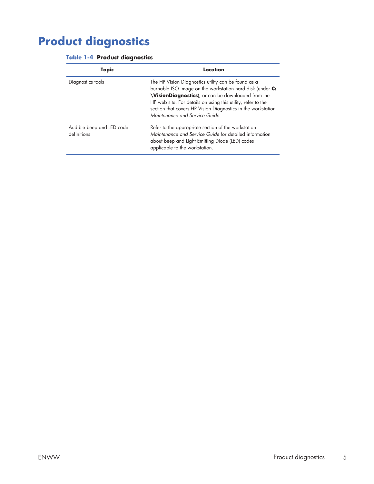# **Product diagnostics**

| <b>Table 1-4 Product diagnostics</b> |  |
|--------------------------------------|--|
|                                      |  |

| Topic                                    | Location                                                                                                                                                                                                                                                                                                                                        |
|------------------------------------------|-------------------------------------------------------------------------------------------------------------------------------------------------------------------------------------------------------------------------------------------------------------------------------------------------------------------------------------------------|
| Diagnostics tools                        | The HP Vision Diagnostics utility can be found as a<br>burnable ISO image on the workstation hard disk (under C:<br><b>VisionDiagnostics</b> ), or can be downloaded from the<br>HP web site. For details on using this utility, refer to the<br>section that covers HP Vision Diagnostics in the workstation<br>Maintenance and Service Guide. |
| Audible beep and LED code<br>definitions | Refer to the appropriate section of the workstation<br>Maintenance and Service Guide for detailed information<br>about beep and Light Emitting Diode (LED) codes<br>applicable to the workstation.                                                                                                                                              |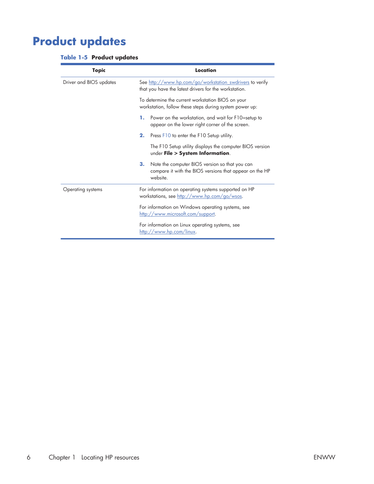# **Product updates**

#### **Table 1-5 Product updates**

| <b>Topic</b>            | Location                                                                                                                    |  |  |  |
|-------------------------|-----------------------------------------------------------------------------------------------------------------------------|--|--|--|
| Driver and BIOS updates | See http://www.hp.com/go/workstation_swdrivers to verify<br>that you have the latest drivers for the workstation.           |  |  |  |
|                         | To determine the current workstation BIOS on your<br>workstation, follow these steps during system power up:                |  |  |  |
|                         | Power on the workstation, and wait for F10=setup to<br>1.<br>appear on the lower right corner of the screen.                |  |  |  |
|                         | 2.<br>Press F10 to enter the F10 Setup utility.                                                                             |  |  |  |
|                         | The F10 Setup utility displays the computer BIOS version<br>under File > System Information.                                |  |  |  |
|                         | 3.<br>Note the computer BIOS version so that you can<br>compare it with the BIOS versions that appear on the HP<br>website. |  |  |  |
| Operating systems       | For information on operating systems supported on HP<br>workstations, see http://www.hp.com/go/wsos.                        |  |  |  |
|                         | For information on Windows operating systems, see<br>http://www.microsoft.com/support.                                      |  |  |  |
|                         | For information on Linux operating systems, see<br>http://www.hp.com/linux.                                                 |  |  |  |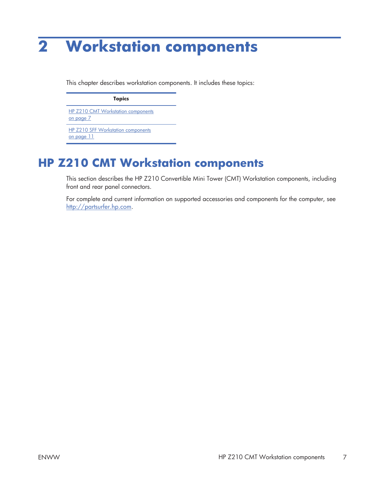# **2 Workstation components**

This chapter describes workstation components. It includes these topics:

**Topics** HP Z210 CMT Workstation components on page 7

HP Z210 SFF Workstation components on page 11

## **HP Z210 CMT Workstation components**

This section describes the HP Z210 Convertible Mini Tower (CMT) Workstation components, including front and rear panel connectors.

For complete and current information on supported accessories and components for the computer, see http://partsurfer.hp.com.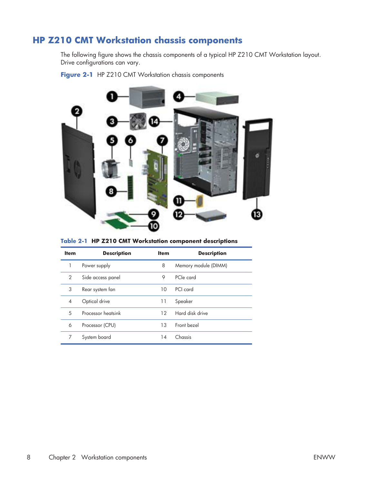### **HP Z210 CMT Workstation chassis components**

The following figure shows the chassis components of a typical HP Z210 CMT Workstation layout. Drive configurations can vary.

**Figure 2-1** HP Z210 CMT Workstation chassis components



|  |  |  | Table 2-1 HP Z210 CMT Workstation component descriptions |  |
|--|--|--|----------------------------------------------------------|--|
|--|--|--|----------------------------------------------------------|--|

| <b>Item</b>    | <b>Description</b> | <b>Item</b> | <b>Description</b>   |
|----------------|--------------------|-------------|----------------------|
|                | Power supply       | 8           | Memory module (DIMM) |
| 2              | Side access panel  | 9           | PCIe card            |
| 3              | Rear system fan    | 10          | PCI card             |
| $\overline{4}$ | Optical drive      | 11          | Speaker              |
| 5              | Processor heatsink | 12          | Hard disk drive      |
| 6              | Processor (CPU)    | 13          | Front bezel          |
| 7              | System board       | 14          | Chassis              |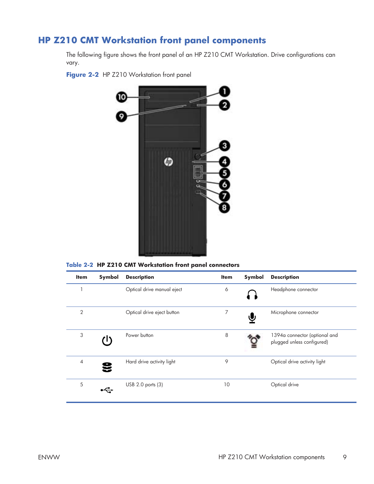### **HP Z210 CMT Workstation front panel components**

The following figure shows the front panel of an HP Z210 CMT Workstation. Drive configurations can vary.

Figure 2-2 HP Z210 Workstation front panel



**Table 2-2 HP Z210 CMT Workstation front panel connectors**

| <b>Item</b>    | Symbol | <b>Description</b>         | <b>Item</b> | Symbol | <b>Description</b>                                          |
|----------------|--------|----------------------------|-------------|--------|-------------------------------------------------------------|
|                |        | Optical drive manual eject | 6           |        | Headphone connector                                         |
| $\overline{2}$ |        | Optical drive eject button | 7           | ♥      | Microphone connector                                        |
| 3              |        | Power button               | 8           |        | 1394a connector (optional and<br>plugged unless configured) |
| $\overline{4}$ | Ξ      | Hard drive activity light  | 9           |        | Optical drive activity light                                |
| 5              |        | USB 2.0 ports (3)          | 10          |        | Optical drive                                               |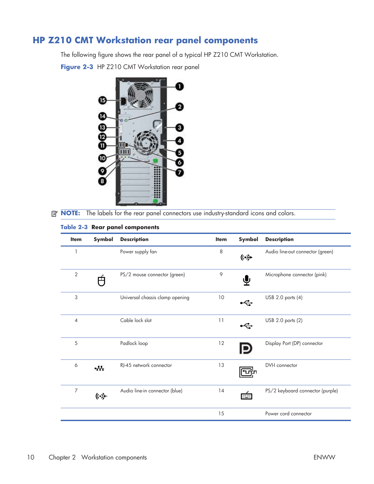### **HP Z210 CMT Workstation rear panel components**

The following figure shows the rear panel of a typical HP Z210 CMT Workstation.

Figure 2-3 HP Z210 CMT Workstation rear panel



**NOTE:** The labels for the rear panel connectors use industry-standard icons and colors.

| <b>Item</b>    | Symbol                   | <b>Description</b>              | <b>Item</b> | Symbol | <b>Description</b>               |
|----------------|--------------------------|---------------------------------|-------------|--------|----------------------------------|
| 1              |                          | Power supply fan                | 8           | (⊶)    | Audio line-out connector (green) |
| $\overline{2}$ | 円                        | PS/2 mouse connector (green)    | 9           | ⊻ٍ     | Microphone connector (pink)      |
| 3              |                          | Universal chassis clamp opening | $10$        |        | USB 2.0 ports (4)                |
| $\overline{4}$ |                          | Cable lock slot                 | 11          |        | USB 2.0 ports (2)                |
| 5              |                          | Padlock loop                    | 12          |        | Display Port (DP) connector      |
| 6              | $\overline{\phantom{a}}$ | RI-45 network connector         | 13          |        | DVI-I connector                  |
| $\overline{7}$ | ((•》                     | Audio line-in connector (blue)  | 14          | min    | PS/2 keyboard connector (purple) |
|                |                          |                                 | 15          |        | Power cord connector             |

#### **Table 2-3 Rear panel components**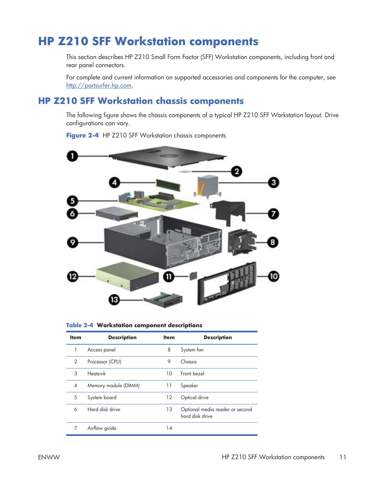### **HP Z210 SFF Workstation components**

This section describes HP Z210 Small Form Factor (SFF) Workstation components, including front and rear panel connectors.

For complete and current information on supported accessories and components for the computer, see http://partsurfer.hp.com.

#### **HP Z210 SFF Workstation chassis components**

The following figure shows the chassis components of a typical HP Z210 SFF Workstation layout. Drive configurations can vary.

Figure 2-4 HP Z210 SFF Workstation chassis components



**Table 2-4 Workstation component descriptions**

| <b>Item</b>              | <b>Description</b>   | <b>Item</b> | <b>Description</b>                                 |  |
|--------------------------|----------------------|-------------|----------------------------------------------------|--|
|                          | Access panel         | 8           | System fan                                         |  |
| $\mathcal{P}$            | Processor (CPU)      | 9           | Chassis                                            |  |
| 3                        | <b>Heatsink</b>      | 10          | Front bezel                                        |  |
| $\overline{\mathcal{A}}$ | Memory module (DIMM) | 11          | Speaker                                            |  |
| 5                        | System board         | 12          | Optical drive                                      |  |
| 6                        | Hard disk drive      | 13          | Optional media reader or second<br>hard disk drive |  |
|                          | Airflow guide        | 14          |                                                    |  |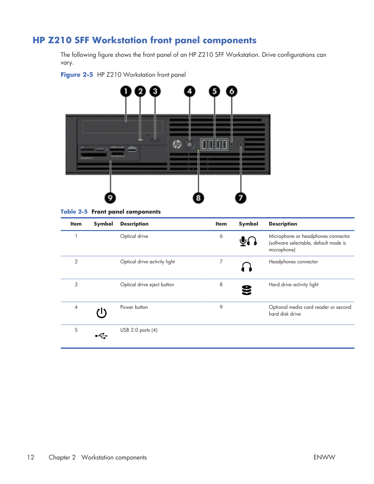### **HP Z210 SFF Workstation front panel components**

The following figure shows the front panel of an HP Z210 SFF Workstation. Drive configurations can vary.





**Table 2-5 Front panel components**

| <b>Item</b>    | Symbol | <b>Description</b>           | <b>Item</b> | Symbol | <b>Description</b>                                                                         |
|----------------|--------|------------------------------|-------------|--------|--------------------------------------------------------------------------------------------|
|                |        | Optical drive                | 6           | ( )پ   | Microphone or headphones connector<br>(software selectable, default mode is<br>microphone) |
| $\overline{2}$ |        | Optical drive activity light | 7           |        | Headphones connector                                                                       |
| 3              |        | Optical drive eject button   | 8           |        | Hard drive activity light                                                                  |
| $\overline{4}$ |        | Power button                 | 9           |        | Optional media card reader or second<br>hard disk drive                                    |
| 5              |        | USB 2.0 ports (4)            |             |        |                                                                                            |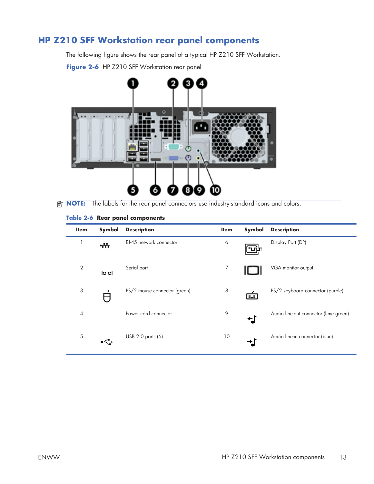### **HP Z210 SFF Workstation rear panel components**

The following figure shows the rear panel of a typical HP Z210 SFF Workstation.

Figure 2-6 HP Z210 SFF Workstation rear panel



**NOTE:** The labels for the rear panel connectors use industry-standard icons and colors.

#### **Table 2-6 Rear panel components**

| <b>Item</b>    | Symbol | <b>Description</b>           | <b>Item</b> | Symbol      | <b>Description</b>                    |
|----------------|--------|------------------------------|-------------|-------------|---------------------------------------|
|                | $+1$   | RI-45 network connector      | 6           | תיתר        | Display Port (DP)                     |
| $\overline{2}$ | IOIO   | Serial port                  | 7           |             | VGA monitor output                    |
| 3              | ┸      | PS/2 mouse connector (green) | 8           | <b>HERE</b> | PS/2 keyboard connector (purple)      |
| 4              |        | Power cord connector         | 9           | ဗ           | Audio line-out connector (lime green) |
| 5              |        | USB 2.0 ports (6)            | 10          |             | Audio line-in connector (blue)        |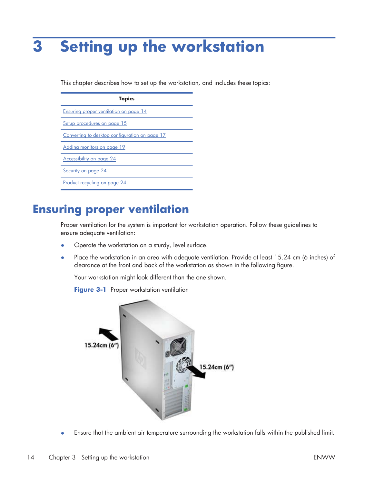# **3 Setting up the workstation**

This chapter describes how to set up the workstation, and includes these topics:

| <b>Topics</b>                                  |
|------------------------------------------------|
| Ensuring proper ventilation on page 14         |
| Setup procedures on page 15                    |
| Converting to desktop configuration on page 17 |
| Adding monitors on page 19                     |
| Accessibility on page 24                       |
| Security on page 24                            |
| Product recycling on page 24                   |

### **Ensuring proper ventilation**

Proper ventilation for the system is important for workstation operation. Follow these guidelines to ensure adequate ventilation:

- Operate the workstation on a sturdy, level surface.
- Place the workstation in an area with adequate ventilation. Provide at least 15.24 cm (6 inches) of clearance at the front and back of the workstation as shown in the following figure.

Your workstation might look different than the one shown.

**Figure 3-1** Proper workstation ventilation



• Ensure that the ambient air temperature surrounding the workstation falls within the published limit.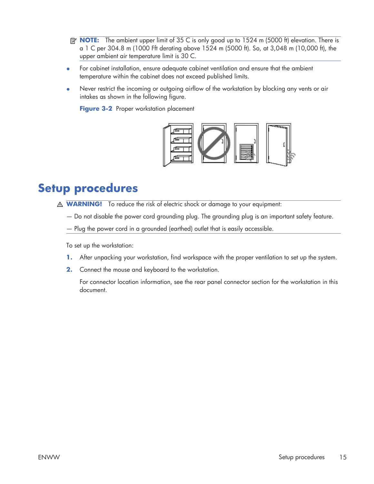- **NOTE:** The ambient upper limit of 35 C is only good up to 1524 m (5000 ft) elevation. There is a 1 C per 304.8 m (1000 Fft derating above 1524 m (5000 ft). So, at 3,048 m (10,000 ft), the upper ambient air temperature limit is 30 C.
- For cabinet installation, ensure adequate cabinet ventilation and ensure that the ambient temperature within the cabinet does not exceed published limits.
- Never restrict the incoming or outgoing airflow of the workstation by blocking any vents or air intakes as shown in the following figure.

**Figure 3-2** Proper workstation placement



### **Setup procedures**

- **MARNING!** To reduce the risk of electric shock or damage to your equipment:
	- Do not disable the power cord grounding plug. The grounding plug is an important safety feature.
	- Plug the power cord in a grounded (earthed) outlet that is easily accessible.

To set up the workstation:

- **1.** After unpacking your workstation, find workspace with the proper ventilation to set up the system.
- **2.** Connect the mouse and keyboard to the workstation.

For connector location information, see the rear panel connector section for the workstation in this document.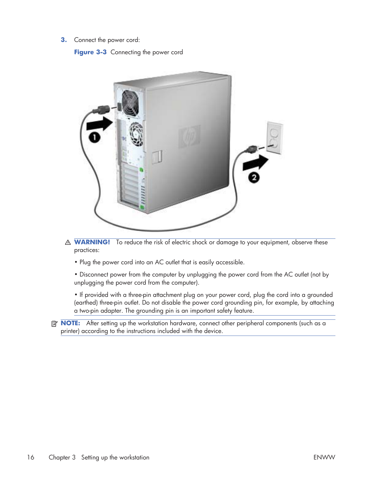**3.** Connect the power cord:

**Figure 3-3** Connecting the power cord



- **MARNING!** To reduce the risk of electric shock or damage to your equipment, observe these practices:
	- Plug the power cord into an AC outlet that is easily accessible.
	- Disconnect power from the computer by unplugging the power cord from the AC outlet (not by unplugging the power cord from the computer).

• If provided with a three-pin attachment plug on your power cord, plug the cord into a grounded (earthed) three-pin outlet. Do not disable the power cord grounding pin, for example, by attaching a two-pin adapter. The grounding pin is an important safety feature.

**NOTE:** After setting up the workstation hardware, connect other peripheral components (such as a printer) according to the instructions included with the device.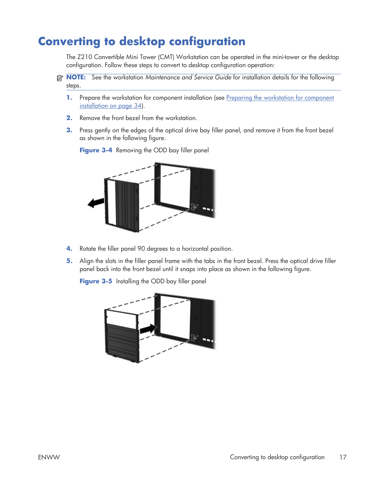## **Converting to desktop configuration**

The Z210 Convertible Mini Tower (CMT) Workstation can be operated in the mini-tower or the desktop configuration. Follow these steps to convert to desktop configuration operation:

- **NOTE:** See the workstation *Maintenance and Service Guide* for installation details for the following steps.
	- **1.** Prepare the workstation for component installation (see Preparing the workstation for component installation on page 34).
	- **2.** Remove the front bezel from the workstation.
	- **3.** Press gently on the edges of the optical drive bay filler panel, and remove it from the front bezel as shown in the following figure.



**Figure 3-4** Removing the ODD bay filler panel

- **4.** Rotate the filler panel 90 degrees to a horizontal position.
- **5.** Align the slots in the filler panel frame with the tabs in the front bezel. Press the optical drive filler panel back into the front bezel until it snaps into place as shown in the following figure.

**Figure 3-5** Installing the ODD bay filler panel

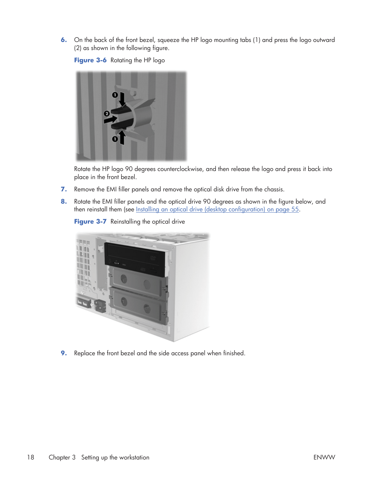**6.** On the back of the front bezel, squeeze the HP logo mounting tabs (1) and press the logo outward (2) as shown in the following figure.

**Figure 3-6** Rotating the HP logo



Rotate the HP logo 90 degrees counterclockwise, and then release the logo and press it back into place in the front bezel.

- **7.** Remove the EMI filler panels and remove the optical disk drive from the chassis.
- **8.** Rotate the EMI filler panels and the optical drive 90 degrees as shown in the figure below, and then reinstall them (see Installing an optical drive (desktop configuration) on page 55.





**9.** Replace the front bezel and the side access panel when finished.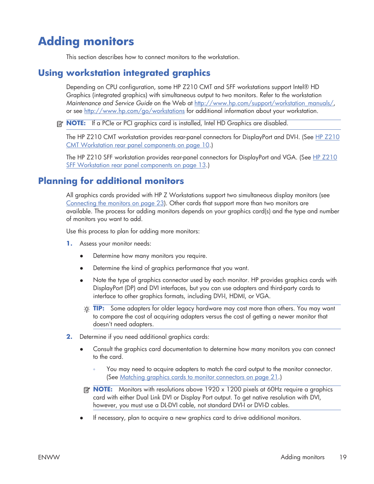# **Adding monitors**

This section describes how to connect monitors to the workstation.

#### **Using workstation integrated graphics**

Depending on CPU configuration, some HP Z210 CMT and SFF workstations support Intel® HD Graphics (integrated graphics) with simultaneous output to two monitors. Refer to the workstation *Maintenance and Service Guide* on the Web at http://www.hp.com/support/workstation\_manuals/, or see http://www.hp.com/go/workstations for additional information about your workstation.

**EX NOTE:** If a PCIe or PCI graphics card is installed, Intel HD Graphics are disabled.

The HP Z210 CMT workstation provides rear-panel connectors for DisplayPort and DVI-I. (See HP Z210 CMT Workstation rear panel components on page 10.)

The HP Z210 SFF workstation provides rear-panel connectors for DisplayPort and VGA. (See HP Z210 SFF Workstation rear panel components on page 13.)

### **Planning for additional monitors**

All graphics cards provided with HP Z Workstations support two simultaneous display monitors (see Connecting the monitors on page 23). Other cards that support more than two monitors are available. The process for adding monitors depends on your graphics card(s) and the type and number of monitors you want to add.

Use this process to plan for adding more monitors:

- **1.** Assess your monitor needs:
	- Determine how many monitors you require.
	- Determine the kind of graphics performance that you want.
	- Note the type of graphics connector used by each monitor. HP provides graphics cards with DisplayPort (DP) and DVI interfaces, but you can use adapters and third-party cards to interface to other graphics formats, including DVI-I, HDMI, or VGA.
		- **TIP:** Some adapters for older legacy hardware may cost more than others. You may want to compare the cost of acquiring adapters versus the cost of getting a newer monitor that doesn't need adapters.
- **2.** Determine if you need additional graphics cards:
	- Consult the graphics card documentation to determine how many monitors you can connect to the card.
		- You may need to acquire adapters to match the card output to the monitor connector. (See Matching graphics cards to monitor connectors on page 21.)
	- **NOTE:** Monitors with resolutions above 1920 x 1200 pixels at 60Hz require a graphics card with either Dual Link DVI or Display Port output. To get native resolution with DVI, however, you must use a DL-DVI cable, not standard DVI-I or DVI-D cables.
	- ł If necessary, plan to acquire a new graphics card to drive additional monitors.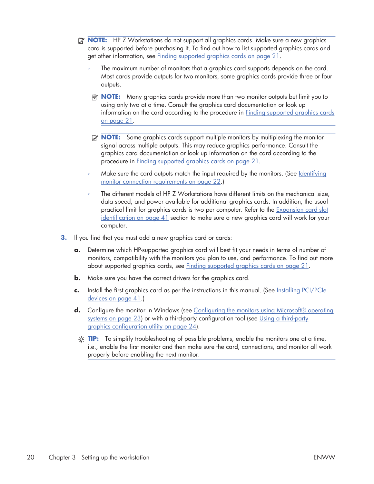- **NOTE:** HP Z Workstations do not support all graphics cards. Make sure a new graphics card is supported before purchasing it. To find out how to list supported graphics cards and get other information, see Finding supported graphics cards on page 21.
	- The maximum number of monitors that a graphics card supports depends on the card. Most cards provide outputs for two monitors, some graphics cards provide three or four outputs.
	- **NOTE:** Many graphics cards provide more than two monitor outputs but limit you to using only two at a time. Consult the graphics card documentation or look up information on the card according to the procedure in Finding supported graphics cards on page 21.
	- **NOTE:** Some graphics cards support multiple monitors by multiplexing the monitor signal across multiple outputs. This may reduce graphics performance. Consult the graphics card documentation or look up information on the card according to the procedure in Finding supported graphics cards on page 21.
	- Make sure the card outputs match the input required by the monitors. (See Identifying monitor connection requirements on page 22.)
	- The different models of HP Z Workstations have different limits on the mechanical size, data speed, and power available for additional graphics cards. In addition, the usual practical limit for graphics cards is two per computer. Refer to the Expansion card slot identification on page 41 section to make sure a new graphics card will work for your computer.
- **3.** If you find that you must add a new graphics card or cards:
	- **a.** Determine which HP-supported graphics card will best fit your needs in terms of number of monitors, compatibility with the monitors you plan to use, and performance. To find out more about supported graphics cards, see Finding supported graphics cards on page 21.
	- **b.** Make sure you have the correct drivers for the graphics card.
	- **c.** Install the first graphics card as per the instructions in this manual. (See Installing PCI/PCIe devices on page 41.)
	- **d.** Configure the monitor in Windows (see Configuring the monitors using Microsoft® operating systems on page 23) or with a third-party configuration tool (see Using a third-party graphics configuration utility on page 24).
		- **TIP:** To simplify troubleshooting of possible problems, enable the monitors one at a time, i.e., enable the first monitor and then make sure the card, connections, and monitor all work properly before enabling the next monitor.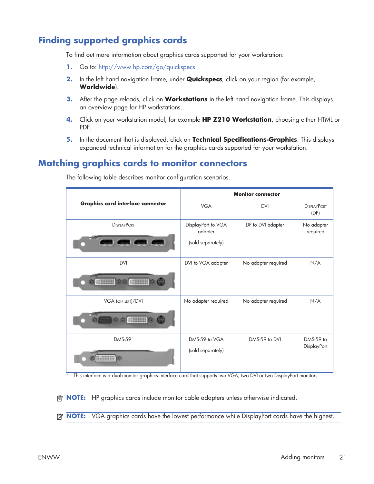### **Finding supported graphics cards**

To find out more information about graphics cards supported for your workstation:

- **1.** Go to: http://www.hp.com/go/quickspecs
- **2.** In the left hand navigation frame, under **Quickspecs**, click on your region (for example, **Worldwide**).
- **3.** After the page reloads, click on **Workstations** in the left hand navigation frame. This displays an overview page for HP workstations.
- **4.** Click on your workstation model, for example **HP Z210 Workstation**, choosing either HTML or PDF.
- **5.** In the document that is displayed, click on **Technical Specifications-Graphics**. This displays expanded technical information for the graphics cards supported for your workstation.

#### **Matching graphics cards to monitor connectors**

|                                                    |                                                    | <b>Monitor connector</b> |                                 |
|----------------------------------------------------|----------------------------------------------------|--------------------------|---------------------------------|
| <b>Graphics card interface connector</b>           | <b>VGA</b>                                         | <b>DVI</b>               | <b>DISPLAYPORT</b><br>(DP)      |
| <b>DISPLAYPORT</b><br><b>Sea dea</b>               | DisplayPort to VGA<br>adapter<br>(sold separately) | DP to DVI adapter        | No adapter<br>required          |
| <b>DVI</b><br>$\ll$<br>$\leftarrow$<br><b>o</b> to | DVI to VGA adapter                                 | No adapter required      | N/A                             |
| VGA (ON LEFT)/DVI<br>$\frac{1}{2}$                 | No adapter required                                | No adapter required      | N/A                             |
| DMS-59*                                            | DMS-59 to VGA<br>(sold separately)                 | DMS-59 to DVI            | DMS-59 to<br><b>DisplayPort</b> |

The following table describes monitor configuration scenarios.

This interface is a dual-monitor graphics interface card that supports two VGA, two DVI or two DisplayPort monitors.

**NOTE:** HP graphics cards include monitor cable adapters unless otherwise indicated.

**EV NOTE:** VGA graphics cards have the lowest performance while DisplayPort cards have the highest.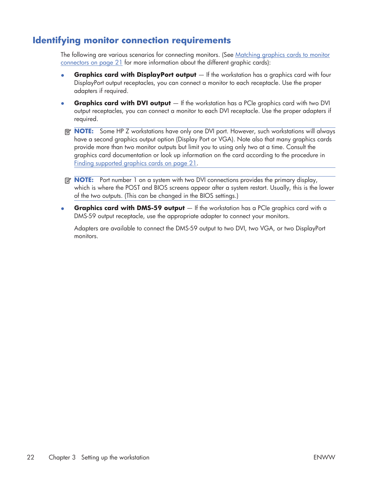### **Identifying monitor connection requirements**

The following are various scenarios for connecting monitors. (See Matching graphics cards to monitor connectors on page 21 for more information about the different graphic cards):

- **Graphics card with DisplayPort output** If the workstation has a graphics card with four DisplayPort output receptacles, you can connect a monitor to each receptacle. Use the proper adapters if required.
- **Graphics card with DVI output** If the workstation has a PCIe graphics card with two DVI output receptacles, you can connect a monitor to each DVI receptacle. Use the proper adapters if required.
- **NOTE:** Some HP Z workstations have only one DVI port. However, such workstations will always have a second graphics output option (Display Port or VGA). Note also that many graphics cards provide more than two monitor outputs but limit you to using only two at a time. Consult the graphics card documentation or look up information on the card according to the procedure in Finding supported graphics cards on page 21.
- **NOTE:** Port number 1 on a system with two DVI connections provides the primary display, which is where the POST and BIOS screens appear after a system restart. Usually, this is the lower of the two outputs. (This can be changed in the BIOS settings.)
- **Graphics card with DMS-59 output** If the workstation has a PCIe graphics card with a DMS-59 output receptacle, use the appropriate adapter to connect your monitors.

Adapters are available to connect the DMS-59 output to two DVI, two VGA, or two DisplayPort monitors.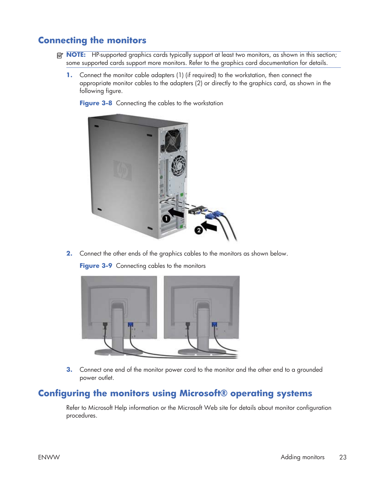### **Connecting the monitors**

- **NOTE:** HP-supported graphics cards typically support at least two monitors, as shown in this section; some supported cards support more monitors. Refer to the graphics card documentation for details.
	- **1.** Connect the monitor cable adapters (1) (if required) to the workstation, then connect the appropriate monitor cables to the adapters (2) or directly to the graphics card, as shown in the following figure.

**Figure 3-8** Connecting the cables to the workstation



**2.** Connect the other ends of the graphics cables to the monitors as shown below.

**Figure 3-9** Connecting cables to the monitors



**3.** Connect one end of the monitor power cord to the monitor and the other end to a grounded power outlet.

#### **Configuring the monitors using Microsoft® operating systems**

Refer to Microsoft Help information or the Microsoft Web site for details about monitor configuration procedures.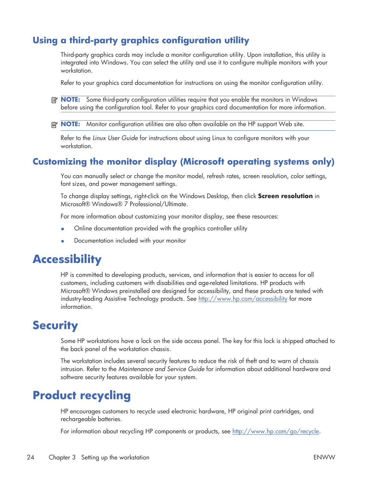### **Using a third-party graphics configuration utility**

Third-party graphics cards may include a monitor configuration utility. Upon installation, this utility is integrated into Windows. You can select the utility and use it to configure multiple monitors with your workstation.

Refer to your graphics card documentation for instructions on using the monitor configuration utility.

- **NOTE:** Some third-party configuration utilities require that you enable the monitors in Windows before using the configuration tool. Refer to your graphics card documentation for more information.
- **NOTE:** Monitor configuration utilities are also often available on the HP support Web site.

Refer to the *Linux User Guide* for instructions about using Linux to configure monitors with your workstation.

### **Customizing the monitor display (Microsoft operating systems only)**

You can manually select or change the monitor model, refresh rates, screen resolution, color settings, font sizes, and power management settings.

To change display settings, right-click on the Windows Desktop, then click **Screen resolution** in Microsoft® Windows® 7 Professional/Ultimate.

For more information about customizing your monitor display, see these resources:

- Online documentation provided with the graphics controller utility
- Documentation included with your monitor

### **Accessibility**

HP is committed to developing products, services, and information that is easier to access for all customers, including customers with disabilities and age-related limitations. HP products with Microsoft® Windows preinstalled are designed for accessibility, and these products are tested with industry-leading Assistive Technology products. See http://www.hp.com/accessibility for more information.

### **Security**

Some HP workstations have a lock on the side access panel. The key for this lock is shipped attached to the back panel of the workstation chassis.

The workstation includes several security features to reduce the risk of theft and to warn of chassis intrusion. Refer to the *Maintenance and Service Guide* for information about additional hardware and software security features available for your system.

## **Product recycling**

HP encourages customers to recycle used electronic hardware, HP original print cartridges, and rechargeable batteries.

For information about recycling HP components or products, see http://www.hp.com/go/recycle.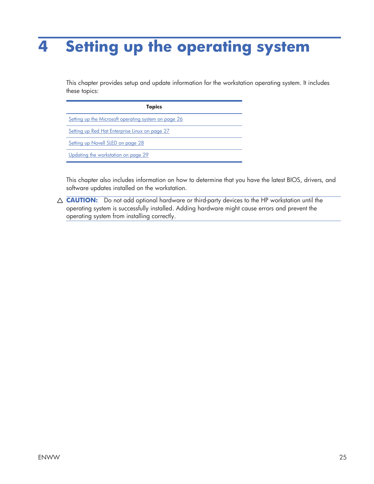# **4 Setting up the operating system**

This chapter provides setup and update information for the workstation operating system. It includes these topics:

| <b>Topics</b>                                        |
|------------------------------------------------------|
| Setting up the Microsoft operating system on page 26 |
| Setting up Red Hat Enterprise Linux on page 27       |
| Setting up Novell SLED on page 28                    |
| Updating the workstation on page 29                  |

This chapter also includes information on how to determine that you have the latest BIOS, drivers, and software updates installed on the workstation.

 $\triangle$  **CAUTION:** Do not add optional hardware or third-party devices to the HP workstation until the operating system is successfully installed. Adding hardware might cause errors and prevent the operating system from installing correctly.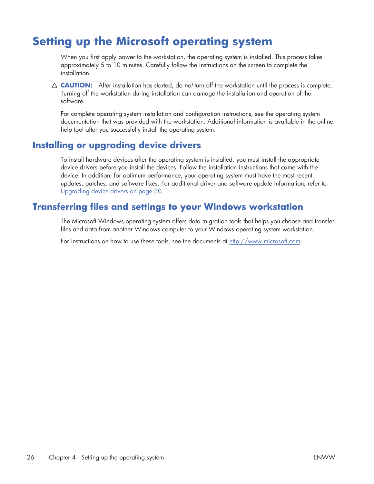## **Setting up the Microsoft operating system**

When you first apply power to the workstation, the operating system is installed. This process takes approximately 5 to 10 minutes. Carefully follow the instructions on the screen to complete the installation.

 $\triangle$  **CAUTION:** After installation has started, do *not* turn off the workstation until the process is complete. Turning off the workstation during installation can damage the installation and operation of the software.

For complete operating system installation and configuration instructions, see the operating system documentation that was provided with the workstation. Additional information is available in the online help tool after you successfully install the operating system.

### **Installing or upgrading device drivers**

To install hardware devices after the operating system is installed, you must install the appropriate device drivers before you install the devices. Follow the installation instructions that came with the device. In addition, for optimum performance, your operating system must have the most recent updates, patches, and software fixes. For additional driver and software update information, refer to Upgrading device drivers on page 30.

### **Transferring files and settings to your Windows workstation**

The Microsoft Windows operating system offers data migration tools that helps you choose and transfer files and data from another Windows computer to your Windows operating system workstation.

For instructions on how to use these tools, see the documents at http://www.microsoft.com.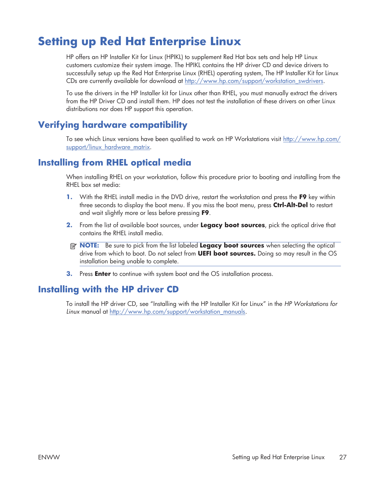## **Setting up Red Hat Enterprise Linux**

HP offers an HP Installer Kit for Linux (HPIKL) to supplement Red Hat box sets and help HP Linux customers customize their system image. The HPIKL contains the HP driver CD and device drivers to successfully setup up the Red Hat Enterprise Linux (RHEL) operating system, The HP Installer Kit for Linux CDs are currently available for download at http://www.hp.com/support/workstation\_swdrivers.

To use the drivers in the HP Installer kit for Linux other than RHEL, you must manually extract the drivers from the HP Driver CD and install them. HP does not test the installation of these drivers on other Linux distributions nor does HP support this operation.

### **Verifying hardware compatibility**

To see which Linux versions have been qualified to work on HP Workstations visit http://www.hp.com/ support/linux\_hardware\_matrix.

### **Installing from RHEL optical media**

When installing RHEL on your workstation, follow this procedure prior to booting and installing from the RHEL box set media:

- **1.** With the RHEL install media in the DVD drive, restart the workstation and press the **F9** key within three seconds to display the boot menu. If you miss the boot menu, press **Ctrl-Alt-Del** to restart and wait slightly more or less before pressing **F9**.
- **2.** From the list of available boot sources, under **Legacy boot sources**, pick the optical drive that contains the RHEL install media.
- **NOTE:** Be sure to pick from the list labeled **Legacy boot sources** when selecting the optical drive from which to boot. Do not select from **UEFI boot sources.** Doing so may result in the OS installation being unable to complete.
- **3.** Press **Enter** to continue with system boot and the OS installation process.

### **Installing with the HP driver CD**

To install the HP driver CD, see "Installing with the HP Installer Kit for Linux" in the *HP Workstations for Linux* manual at http://www.hp.com/support/workstation\_manuals.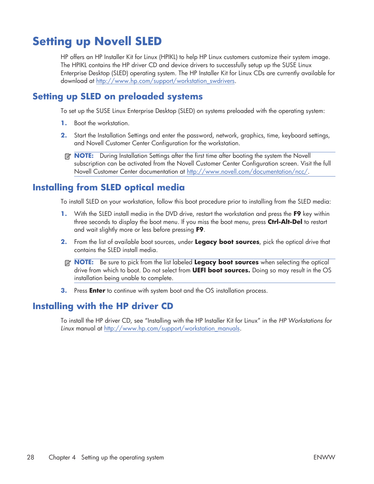## **Setting up Novell SLED**

HP offers an HP Installer Kit for Linux (HPIKL) to help HP Linux customers customize their system image. The HPIKL contains the HP driver CD and device drivers to successfully setup up the SUSE Linux Enterprise Desktop (SLED) operating system. The HP Installer Kit for Linux CDs are currently available for download at http://www.hp.com/support/workstation\_swdrivers.

### **Setting up SLED on preloaded systems**

To set up the SUSE Linux Enterprise Desktop (SLED) on systems preloaded with the operating system:

- **1.** Boot the workstation.
- **2.** Start the Installation Settings and enter the password, network, graphics, time, keyboard settings, and Novell Customer Center Configuration for the workstation.
- **NOTE:** During Installation Settings after the first time after booting the system the Novell subscription can be activated from the Novell Customer Center Configuration screen. Visit the full Novell Customer Center documentation at http://www.novell.com/documentation/ncc/.

### **Installing from SLED optical media**

To install SLED on your workstation, follow this boot procedure prior to installing from the SLED media:

- **1.** With the SLED install media in the DVD drive, restart the workstation and press the **F9** key within three seconds to display the boot menu. If you miss the boot menu, press **Ctrl-Alt-Del** to restart and wait slightly more or less before pressing **F9**.
- **2.** From the list of available boot sources, under **Legacy boot sources**, pick the optical drive that contains the SLED install media.
- **NOTE:** Be sure to pick from the list labeled Legacy boot sources when selecting the optical drive from which to boot. Do not select from **UEFI boot sources.** Doing so may result in the OS installation being unable to complete.
- **3.** Press **Enter** to continue with system boot and the OS installation process.

### **Installing with the HP driver CD**

To install the HP driver CD, see "Installing with the HP Installer Kit for Linux" in the *HP Workstations for Linux* manual at http://www.hp.com/support/workstation\_manuals.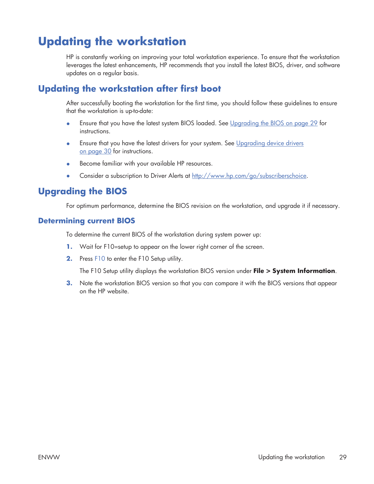# **Updating the workstation**

HP is constantly working on improving your total workstation experience. To ensure that the workstation leverages the latest enhancements, HP recommends that you install the latest BIOS, driver, and software updates on a regular basis.

### **Updating the workstation after first boot**

After successfully booting the workstation for the first time, you should follow these guidelines to ensure that the workstation is up-to-date:

- Ensure that you have the latest system BIOS loaded. See Upgrading the BIOS on page 29 for instructions.
- $\bullet$  Ensure that you have the latest drivers for your system. See Upgrading device drivers on page 30 for instructions.
- Become familiar with your available HP resources.
- Consider a subscription to Driver Alerts at http://www.hp.com/go/subscriberschoice.

### **Upgrading the BIOS**

For optimum performance, determine the BIOS revision on the workstation, and upgrade it if necessary.

#### **Determining current BIOS**

To determine the current BIOS of the workstation during system power up:

- **1.** Wait for F10=setup to appear on the lower right corner of the screen.
- **2.** Press F10 to enter the F10 Setup utility.

The F10 Setup utility displays the workstation BIOS version under **File > System Information**.

**3.** Note the workstation BIOS version so that you can compare it with the BIOS versions that appear on the HP website.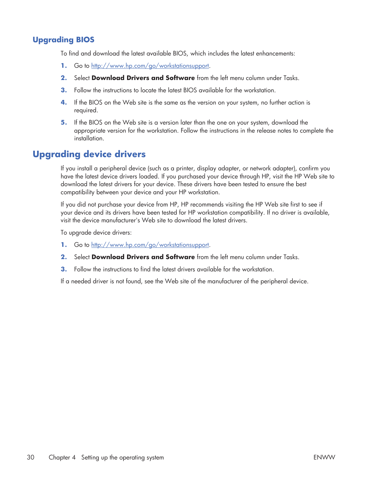#### **Upgrading BIOS**

To find and download the latest available BIOS, which includes the latest enhancements:

- **1.** Go to http://www.hp.com/go/workstationsupport.
- **2.** Select **Download Drivers and Software** from the left menu column under Tasks.
- **3.** Follow the instructions to locate the latest BIOS available for the workstation.
- **4.** If the BIOS on the Web site is the same as the version on your system, no further action is required.
- **5.** If the BIOS on the Web site is a version later than the one on your system, download the appropriate version for the workstation. Follow the instructions in the release notes to complete the installation.

#### **Upgrading device drivers**

If you install a peripheral device (such as a printer, display adapter, or network adapter), confirm you have the latest device drivers loaded. If you purchased your device through HP, visit the HP Web site to download the latest drivers for your device. These drivers have been tested to ensure the best compatibility between your device and your HP workstation.

If you did not purchase your device from HP, HP recommends visiting the HP Web site first to see if your device and its drivers have been tested for HP workstation compatibility. If no driver is available, visit the device manufacturer's Web site to download the latest drivers.

To upgrade device drivers:

- **1.** Go to http://www.hp.com/go/workstationsupport.
- **2.** Select **Download Drivers and Software** from the left menu column under Tasks.
- **3.** Follow the instructions to find the latest drivers available for the workstation.

If a needed driver is not found, see the Web site of the manufacturer of the peripheral device.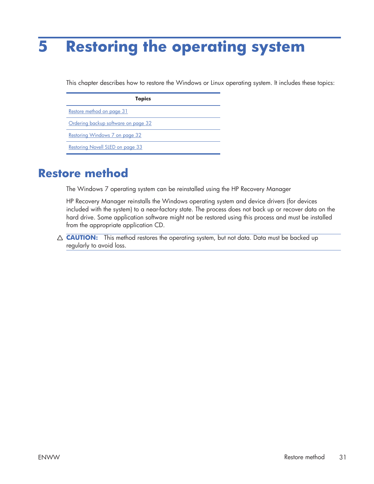# **5 Restoring the operating system**

This chapter describes how to restore the Windows or Linux operating system. It includes these topics:

| <b>Topics</b>                       |  |
|-------------------------------------|--|
| Restore method on page 31           |  |
| Ordering backup software on page 32 |  |
| Restoring Windows 7 on page 32      |  |
| Restoring Novell SLED on page 33    |  |

### **Restore method**

The Windows 7 operating system can be reinstalled using the HP Recovery Manager

HP Recovery Manager reinstalls the Windows operating system and device drivers (for devices included with the system) to a near-factory state. The process does not back up or recover data on the hard drive. Some application software might not be restored using this process and must be installed from the appropriate application CD.

 $\triangle$  **CAUTION:** This method restores the operating system, but not data. Data must be backed up regularly to avoid loss.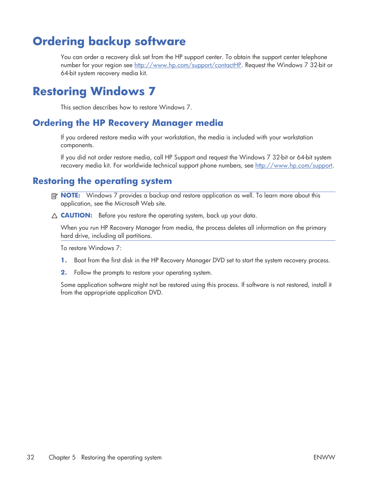# **Ordering backup software**

You can order a recovery disk set from the HP support center. To obtain the support center telephone number for your region see http://www.hp.com/support/contactHP. Request the Windows 7 32-bit or 64-bit system recovery media kit.

## **Restoring Windows 7**

This section describes how to restore Windows 7.

#### **Ordering the HP Recovery Manager media**

If you ordered restore media with your workstation, the media is included with your workstation components.

If you did not order restore media, call HP Support and request the Windows 7 32-bit or 64-bit system recovery media kit. For worldwide technical support phone numbers, see http://www.hp.com/support.

### **Restoring the operating system**

- **NOTE:** Windows 7 provides a backup and restore application as well. To learn more about this application, see the Microsoft Web site.
- $\triangle$  **CAUTION:** Before you restore the operating system, back up your data.

When you run HP Recovery Manager from media, the process deletes all information on the primary hard drive, including all partitions.

To restore Windows 7:

- **1.** Boot from the first disk in the HP Recovery Manager DVD set to start the system recovery process.
- **2.** Follow the prompts to restore your operating system.

Some application software might not be restored using this process. If software is not restored, install it from the appropriate application DVD.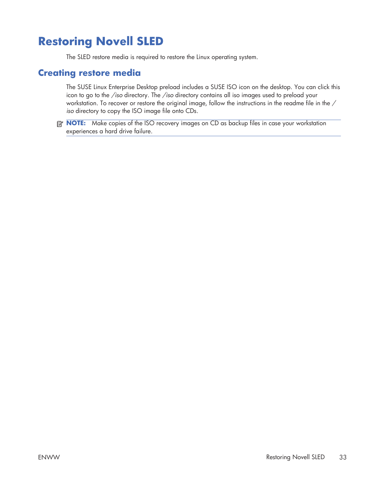# **Restoring Novell SLED**

The SLED restore media is required to restore the Linux operating system.

#### **Creating restore media**

The SUSE Linux Enterprise Desktop preload includes a SUSE ISO icon on the desktop. You can click this icon to go to the */iso* directory. The */iso* directory contains all iso images used to preload your workstation. To recover or restore the original image, follow the instructions in the readme file in the */ iso* directory to copy the ISO image file onto CDs.

**NOTE:** Make copies of the ISO recovery images on CD as backup files in case your workstation experiences a hard drive failure.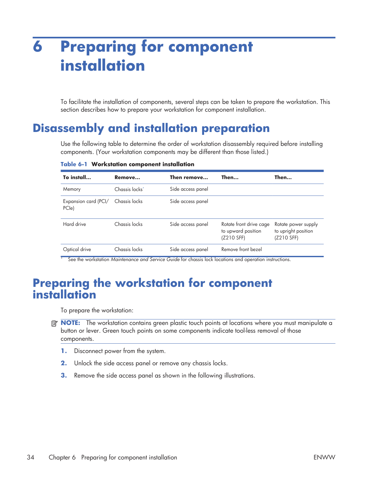# **6 Preparing for component installation**

To facilitate the installation of components, several steps can be taken to prepare the workstation. This section describes how to prepare your workstation for component installation.

### **Disassembly and installation preparation**

Use the following table to determine the order of workstation disassembly required before installing components. (Your workstation components may be different than those listed.)

| To install                    | Remove                     | Then remove       | Then                                                        | Then                                                     |
|-------------------------------|----------------------------|-------------------|-------------------------------------------------------------|----------------------------------------------------------|
| Memory                        | Chassis locks <sup>*</sup> | Side access panel |                                                             |                                                          |
| Expansion card (PCI/<br>PCle) | Chassis locks              | Side access panel |                                                             |                                                          |
| Hard drive                    | Chassis locks              | Side access panel | Rotate front drive cage<br>to upward position<br>(Z210 SFF) | Rotate power supply<br>to upright position<br>(Z210 SFF) |
| Optical drive                 | Chassis locks              | Side access panel | Remove front bezel                                          |                                                          |

**Table 6-1 Workstation component installation**

See the workstation *Maintenance and Service Guide* for chassis lock locations and operation instructions.

### **Preparing the workstation for component installation**

To prepare the workstation:

- **NOTE:** The workstation contains green plastic touch points at locations where you must manipulate a button or lever. Green touch points on some components indicate tool-less removal of those components.
	- **1.** Disconnect power from the system.
	- **2.** Unlock the side access panel or remove any chassis locks.
	- **3.** Remove the side access panel as shown in the following illustrations.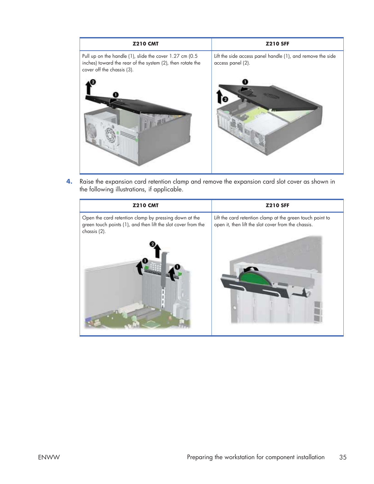

**4.** Raise the expansion card retention clamp and remove the expansion card slot cover as shown in the following illustrations, if applicable.

| <b>Z210 CMT</b>                                                                                                                        | <b>Z210 SFF</b>                                                                                                  |
|----------------------------------------------------------------------------------------------------------------------------------------|------------------------------------------------------------------------------------------------------------------|
| Open the card retention clamp by pressing down at the<br>green touch points (1), and then lift the slot cover from the<br>chassis (2). | Lift the card retention clamp at the green touch point to<br>open it, then lift the slot cover from the chassis. |
|                                                                                                                                        |                                                                                                                  |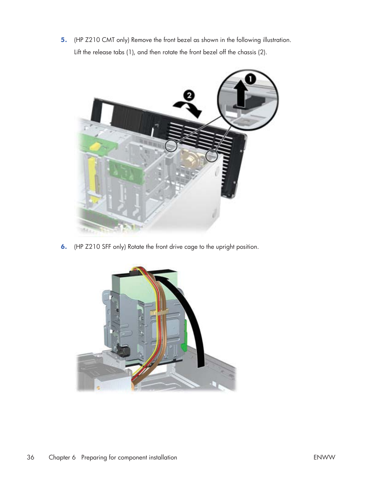**5.** (HP Z210 CMT only) Remove the front bezel as shown in the following illustration. Lift the release tabs (1), and then rotate the front bezel off the chassis (2).



**6.** (HP Z210 SFF only) Rotate the front drive cage to the upright position.

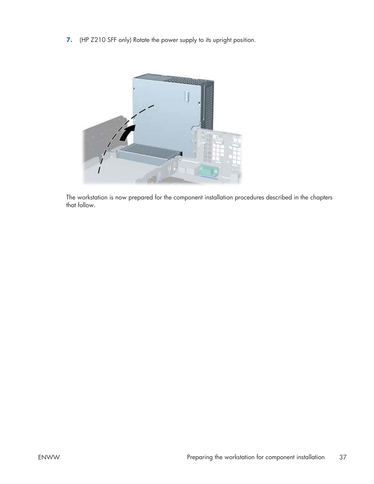**7.** (HP Z210 SFF only) Rotate the power supply to its upright position.



The workstation is now prepared for the component installation procedures described in the chapters that follow.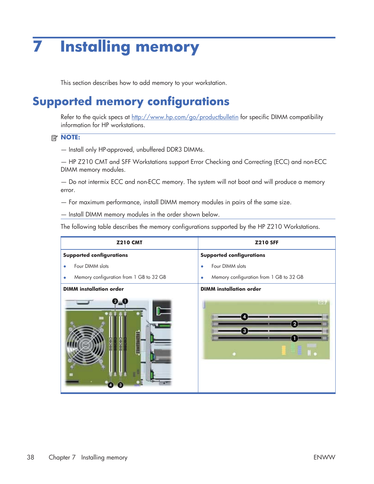# **7 Installing memory**

This section describes how to add memory to your workstation.

# **Supported memory configurations**

Refer to the quick specs at http://www.hp.com/go/productbulletin for specific DIMM compatibility information for HP workstations.

#### **NOTE:**

— Install only HP-approved, unbuffered DDR3 DIMMs.

— HP Z210 CMT and SFF Workstations support Error Checking and Correcting (ECC) and non-ECC DIMM memory modules.

— Do not intermix ECC and non-ECC memory. The system will not boot and will produce a memory error.

— For maximum performance, install DIMM memory modules in pairs of the same size.

— Install DIMM memory modules in the order shown below.

The following table describes the memory configurations supported by the HP Z210 Workstations.

| <b>Z210 CMT</b>                         | <b>Z210 SFF</b>                                      |
|-----------------------------------------|------------------------------------------------------|
| <b>Supported configurations</b>         | <b>Supported configurations</b>                      |
| Four DIMM slots                         | Four DIMM slots<br>$\bullet$                         |
| Memory configuration from 1 GB to 32 GB | Memory configuration from 1 GB to 32 GB<br>$\bullet$ |
| <b>DIMM</b> installation order          | <b>DIMM</b> installation order                       |
|                                         |                                                      |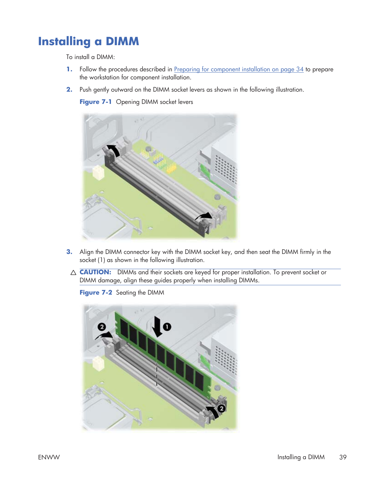# **Installing a DIMM**

To install a DIMM:

- **1.** Follow the procedures described in Preparing for component installation on page 34 to prepare the workstation for component installation.
- **2.** Push gently outward on the DIMM socket levers as shown in the following illustration.

**Figure 7-1** Opening DIMM socket levers



- **3.** Align the DIMM connector key with the DIMM socket key, and then seat the DIMM firmly in the socket (1) as shown in the following illustration.
- $\triangle$  **CAUTION:** DIMMs and their sockets are keyed for proper installation. To prevent socket or DIMM damage, align these guides properly when installing DIMMs.

**Figure 7-2** Seating the DIMM

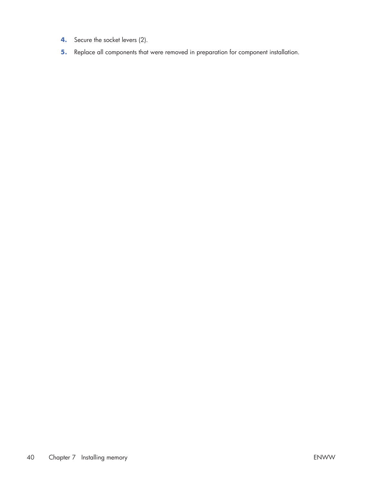- **4.** Secure the socket levers (2).
- **5.** Replace all components that were removed in preparation for component installation.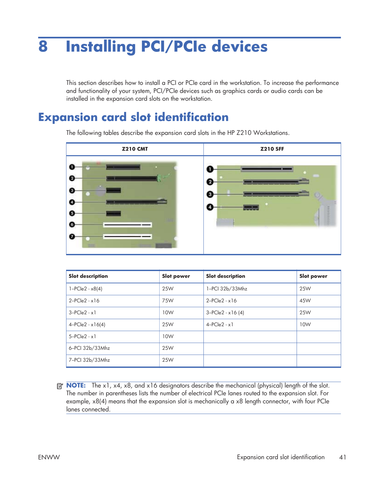# **8 Installing PCI/PCIe devices**

This section describes how to install a PCI or PCIe card in the workstation. To increase the performance and functionality of your system, PCI/PCIe devices such as graphics cards or audio cards can be installed in the expansion card slots on the workstation.

## **Expansion card slot identification**

**Z210 CMT Z210 SFF** 0  $\mathbf{e}$ 0  $\mathbf{o}$ ø 0 0

The following tables describe the expansion card slots in the HP Z210 Workstations.

| <b>Slot description</b> | <b>Slot power</b> | <b>Slot description</b> | <b>Slot power</b> |
|-------------------------|-------------------|-------------------------|-------------------|
| $1 - PCIe2 - x8(4)$     | 25W               | 1-PCI 32b/33Mhz         | 25W               |
| $2-PCle2 - x16$         | 75W               | $2-PCle2 - x16$         | 45W               |
| $3-PCle2 - x1$          | 10W               | $3-PCle2 - x16(4)$      | 25W               |
| $4 - PCIe2 - x16(4)$    | 25W               | $4-PCle2 - x1$          | 10W               |
| $5-PCle2 - x1$          | 10W               |                         |                   |
| 6-PCI 32b/33Mhz         | 25W               |                         |                   |
| 7-PCI 32b/33Mhz         | 25W               |                         |                   |

**B NOTE:** The x1, x4, x8, and x16 designators describe the mechanical (physical) length of the slot. The number in parentheses lists the number of electrical PCIe lanes routed to the expansion slot. For example, x8(4) means that the expansion slot is mechanically a x8 length connector, with four PCIe lanes connected.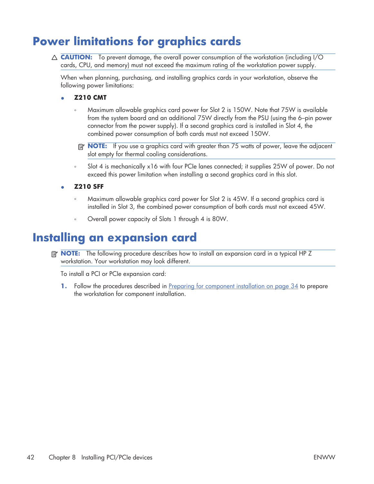# **Power limitations for graphics cards**

 $\triangle$  **CAUTION:** To prevent damage, the overall power consumption of the workstation (including I/O cards, CPU, and memory) must not exceed the maximum rating of the workstation power supply.

When when planning, purchasing, and installing graphics cards in your workstation, observe the following power limitations:

- ł **Z210 CMT**
	- Maximum allowable graphics card power for Slot 2 is 150W. Note that 75W is available from the system board and an additional 75W directly from the PSU (using the 6–pin power connector from the power supply). If a second graphics card is installed in Slot 4, the combined power consumption of both cards must not exceed 150W.
	- **EX NOTE:** If you use a graphics card with greater than 75 watts of power, leave the adjacent slot empty for thermal cooling considerations.
	- Slot 4 is mechanically x16 with four PCIe lanes connected; it supplies 25W of power. Do not exceed this power limitation when installing a second graphics card in this slot.
- ł **Z210 SFF**
	- Maximum allowable graphics card power for Slot 2 is 45W. If a second graphics card is installed in Slot 3, the combined power consumption of both cards must not exceed 45W.
	- Overall power capacity of Slots 1 through 4 is 80W.

### **Installing an expansion card**

**NOTE:** The following procedure describes how to install an expansion card in a typical HP Z workstation. Your workstation may look different.

To install a PCI or PCIe expansion card:

**1.** Follow the procedures described in Preparing for component installation on page 34 to prepare the workstation for component installation.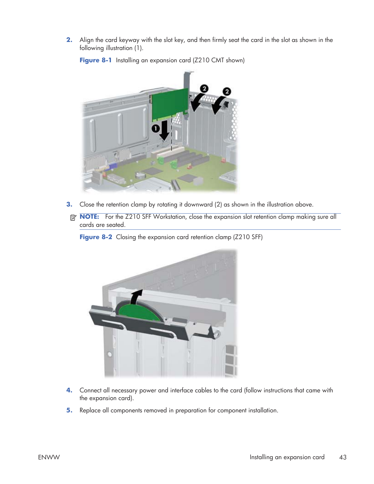**2.** Align the card keyway with the slot key, and then firmly seat the card in the slot as shown in the following illustration (1).



Figure 8-1 Installing an expansion card (Z210 CMT shown)

- **3.** Close the retention clamp by rotating it downward (2) as shown in the illustration above.
- **NOTE:** For the Z210 SFF Workstation, close the expansion slot retention clamp making sure all cards are seated.

**Figure 8-2** Closing the expansion card retention clamp (Z210 SFF)



- **4.** Connect all necessary power and interface cables to the card (follow instructions that came with the expansion card).
- **5.** Replace all components removed in preparation for component installation.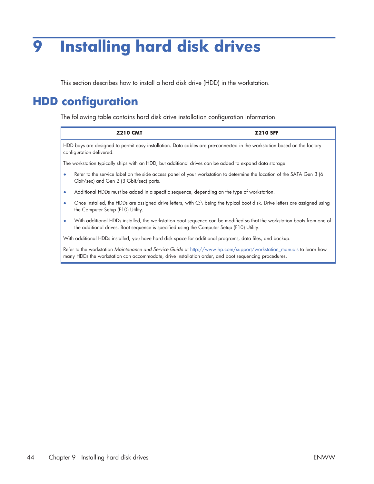# **9 Installing hard disk drives**

This section describes how to install a hard disk drive (HDD) in the workstation.

## **HDD configuration**

The following table contains hard disk drive installation configuration information.

many HDDs the workstation can accommodate, drive installation order, and boot sequencing procedures.

| <b>Z210 CMT</b>                                                                                                                                                                                                                   | <b>Z210 SFF</b> |  |
|-----------------------------------------------------------------------------------------------------------------------------------------------------------------------------------------------------------------------------------|-----------------|--|
| HDD bays are designed to permit easy installation. Data cables are pre-connected in the workstation based on the factory<br>configuration delivered.                                                                              |                 |  |
| The workstation typically ships with an HDD, but additional drives can be added to expand data storage:                                                                                                                           |                 |  |
| Refer to the service label on the side access panel of your workstation to determine the location of the SATA Gen 3 (6<br>$\bullet$<br>Gbit/sec) and Gen 2 (3 Gbit/sec) ports.                                                    |                 |  |
| Additional HDDs must be added in a specific sequence, depending on the type of workstation.<br>$\bullet$                                                                                                                          |                 |  |
| Once installed, the HDDs are assigned drive letters, with C:\ being the typical boot disk. Drive letters are assigned using<br>$\bullet$<br>the Computer Setup (F10) Utility.                                                     |                 |  |
| With additional HDDs installed, the workstation boot sequence can be modified so that the workstation boots from one of<br>$\bullet$<br>the additional drives. Boot sequence is specified using the Computer Setup (F10) Utility. |                 |  |
| With additional HDDs installed, you have hard disk space for additional programs, data files, and backup.                                                                                                                         |                 |  |
| Refer to the workstation Maintenance and Service Guide at http://www.hp.com/support/workstation_manuals to learn how                                                                                                              |                 |  |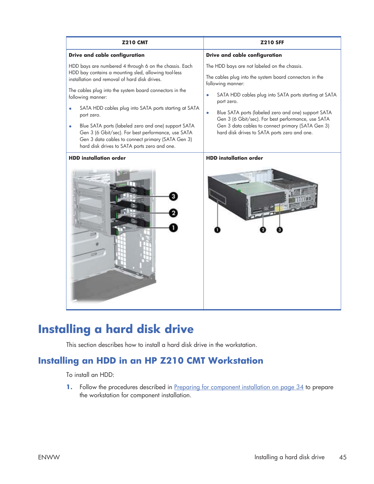| <b>Z210 CMT</b>                                                                                                                                                                                                                                                                                                                                                                                                                                                                                                                               | <b>Z210 SFF</b>                                                                                                                                                                                                                                                                                                                                                                                                                                 |
|-----------------------------------------------------------------------------------------------------------------------------------------------------------------------------------------------------------------------------------------------------------------------------------------------------------------------------------------------------------------------------------------------------------------------------------------------------------------------------------------------------------------------------------------------|-------------------------------------------------------------------------------------------------------------------------------------------------------------------------------------------------------------------------------------------------------------------------------------------------------------------------------------------------------------------------------------------------------------------------------------------------|
| Drive and cable configuration                                                                                                                                                                                                                                                                                                                                                                                                                                                                                                                 | Drive and cable configuration                                                                                                                                                                                                                                                                                                                                                                                                                   |
| HDD bays are numbered 4 through 6 on the chassis. Each<br>HDD bay contains a mounting sled, allowing tool-less<br>installation and removal of hard disk drives.<br>The cables plug into the system board connectors in the<br>following manner:<br>SATA HDD cables plug into SATA ports starting at SATA<br>port zero.<br>Blue SATA ports (labeled zero and one) support SATA<br>۰<br>Gen 3 (6 Gbit/sec). For best performance, use SATA<br>Gen 3 data cables to connect primary (SATA Gen 3)<br>hard disk drives to SATA ports zero and one. | The HDD bays are not labeled on the chassis.<br>The cables plug into the system board connectors in the<br>following manner:<br>SATA HDD cables plug into SATA ports starting at SATA<br>$\bullet$<br>port zero.<br>Blue SATA ports (labeled zero and one) support SATA<br>$\bullet$<br>Gen 3 (6 Gbit/sec). For best performance, use SATA<br>Gen 3 data cables to connect primary (SATA Gen 3)<br>hard disk drives to SATA ports zero and one. |
| <b>HDD</b> installation order                                                                                                                                                                                                                                                                                                                                                                                                                                                                                                                 | <b>HDD</b> installation order                                                                                                                                                                                                                                                                                                                                                                                                                   |

## **Installing a hard disk drive**

This section describes how to install a hard disk drive in the workstation.

### **Installing an HDD in an HP Z210 CMT Workstation**

To install an HDD:

**1.** Follow the procedures described in Preparing for component installation on page 34 to prepare the workstation for component installation.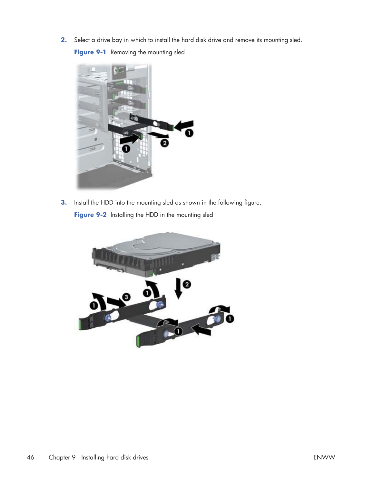**2.** Select a drive bay in which to install the hard disk drive and remove its mounting sled.

**Figure 9-1** Removing the mounting sled



**3.** Install the HDD into the mounting sled as shown in the following figure. **Figure 9-2** Installing the HDD in the mounting sled

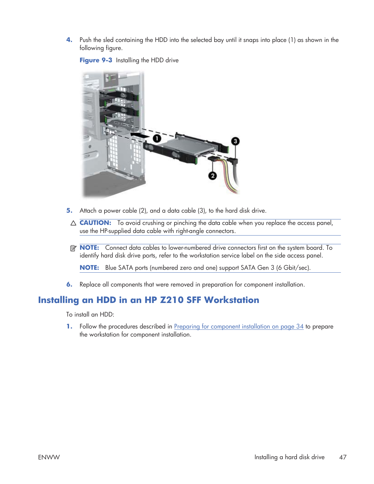**4.** Push the sled containing the HDD into the selected bay until it snaps into place (1) as shown in the following figure.

**Figure 9-3** Installing the HDD drive



- **5.** Attach a power cable (2), and a data cable (3), to the hard disk drive.
	- $\triangle$  **CAUTION:** To avoid crushing or pinching the data cable when you replace the access panel, use the HP-supplied data cable with right-angle connectors.
- **NOTE:** Connect data cables to lower-numbered drive connectors first on the system board. To identify hard disk drive ports, refer to the workstation service label on the side access panel.

**NOTE:** Blue SATA ports (numbered zero and one) support SATA Gen 3 (6 Gbit/sec).

**6.** Replace all components that were removed in preparation for component installation.

### **Installing an HDD in an HP Z210 SFF Workstation**

To install an HDD:

**1.** Follow the procedures described in Preparing for component installation on page 34 to prepare the workstation for component installation.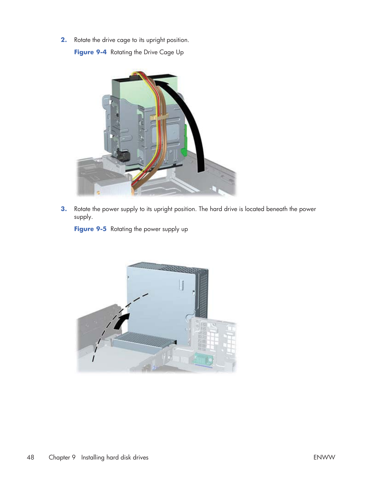**2.** Rotate the drive cage to its upright position.

**Figure 9-4** Rotating the Drive Cage Up



**3.** Rotate the power supply to its upright position. The hard drive is located beneath the power supply.

**Figure 9-5** Rotating the power supply up

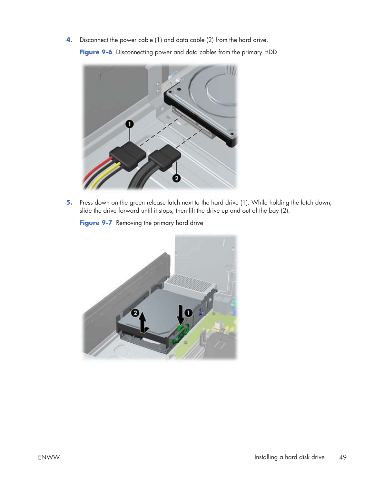**4.** Disconnect the power cable (1) and data cable (2) from the hard drive.

**Figure 9-6** Disconnecting power and data cables from the primary HDD



**5.** Press down on the green release latch next to the hard drive (1). While holding the latch down, slide the drive forward until it stops, then lift the drive up and out of the bay (2).

**Figure 9-7** Removing the primary hard drive

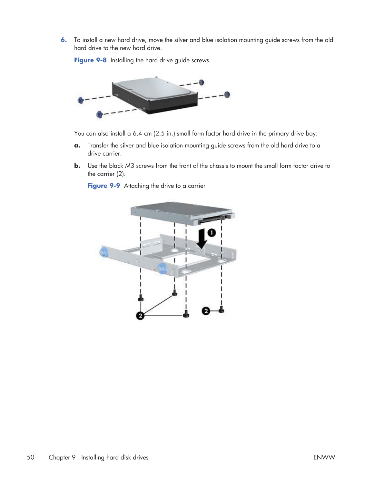**6.** To install a new hard drive, move the silver and blue isolation mounting guide screws from the old hard drive to the new hard drive.

**Figure 9-8** Installing the hard drive guide screws



You can also install a 6.4 cm (2.5 in.) small form factor hard drive in the primary drive bay:

- **a.** Transfer the silver and blue isolation mounting guide screws from the old hard drive to a drive carrier.
- **b.** Use the black M3 screws from the front of the chassis to mount the small form factor drive to the carrier (2).

**Figure 9-9** Attaching the drive to a carrier

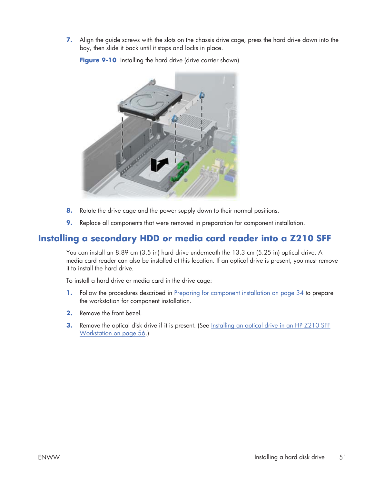**7.** Align the guide screws with the slots on the chassis drive cage, press the hard drive down into the bay, then slide it back until it stops and locks in place.

Figure 9-10 Installing the hard drive (drive carrier shown)



- **8.** Rotate the drive cage and the power supply down to their normal positions.
- **9.** Replace all components that were removed in preparation for component installation.

#### **Installing a secondary HDD or media card reader into a Z210 SFF**

You can install an 8.89 cm (3.5 in) hard drive underneath the 13.3 cm (5.25 in) optical drive. A media card reader can also be installed at this location. If an optical drive is present, you must remove it to install the hard drive.

To install a hard drive or media card in the drive cage:

- **1.** Follow the procedures described in Preparing for component installation on page 34 to prepare the workstation for component installation.
- **2.** Remove the front bezel.
- **3.** Remove the optical disk drive if it is present. (See <u>Installing an optical drive in an HP Z210 SFF</u> Workstation on page 56.)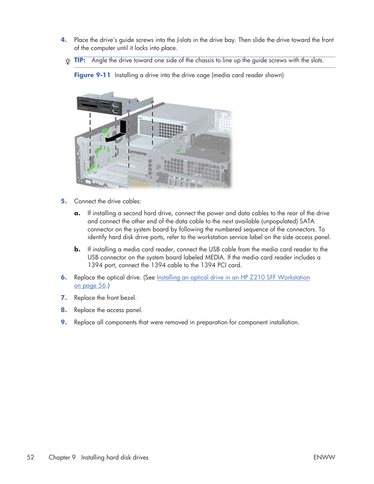- **4.** Place the drive's guide screws into the J-slots in the drive bay. Then slide the drive toward the front of the computer until it locks into place.
- $\frac{1}{2}$  **TIP:** Angle the drive toward one side of the chassis to line up the quide screws with the slots.

**Figure 9-11** Installing a drive into the drive cage (media card reader shown)

- **5.** Connect the drive cables:
	- **a.** If installing a second hard drive, connect the power and data cables to the rear of the drive and connect the other end of the data cable to the next available (unpopulated) SATA connector on the system board by following the numbered sequence of the connectors. To identify hard disk drive ports, refer to the workstation service label on the side access panel.
	- **b.** If installing a media card reader, connect the USB cable from the media card reader to the USB connector on the system board labeled MEDIA. If the media card reader includes a 1394 port, connect the 1394 cable to the 1394 PCI card.
- **6.** Replace the optical drive. (See Installing an optical drive in an HP Z210 SFF Workstation on page 56.)
- **7.** Replace the front bezel.
- **8.** Replace the access panel.
- **9.** Replace all components that were removed in preparation for component installation.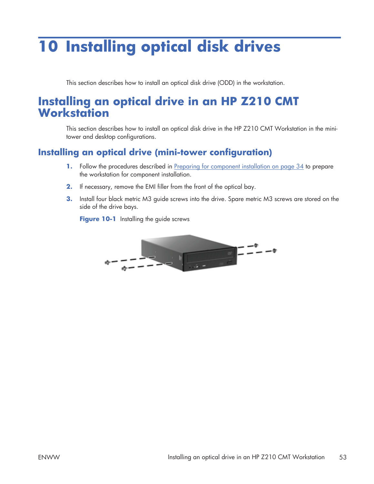# **10 Installing optical disk drives**

This section describes how to install an optical disk drive (ODD) in the workstation.

### **Installing an optical drive in an HP Z210 CMT Workstation**

This section describes how to install an optical disk drive in the HP Z210 CMT Workstation in the minitower and desktop configurations.

### **Installing an optical drive (mini-tower configuration)**

- **1.** Follow the procedures described in Preparing for component installation on page 34 to prepare the workstation for component installation.
- **2.** If necessary, remove the EMI filler from the front of the optical bay.
- **3.** Install four black metric M3 guide screws into the drive. Spare metric M3 screws are stored on the side of the drive bays.

**Figure 10-1** Installing the guide screws

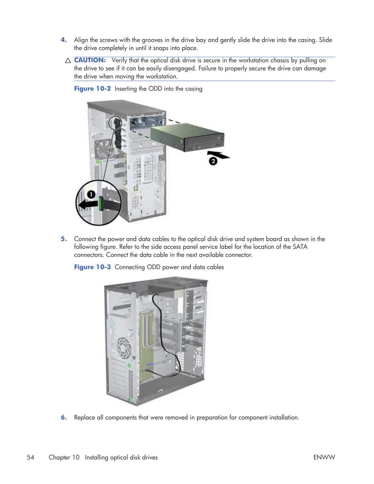- **4.** Align the screws with the grooves in the drive bay and gently slide the drive into the casing. Slide the drive completely in until it snaps into place.
- $\triangle$  **CAUTION:** Verify that the optical disk drive is secure in the workstation chassis by pulling on the drive to see if it can be easily disengaged. Failure to properly secure the drive can damage the drive when moving the workstation.



**Figure 10-2** Inserting the ODD into the casing

**5.** Connect the power and data cables to the optical disk drive and system board as shown in the following figure. Refer to the side access panel service label for the location of the SATA connectors. Connect the data cable in the next available connector.

**Figure 10-3** Connecting ODD power and data cables



**6.** Replace all components that were removed in preparation for component installation.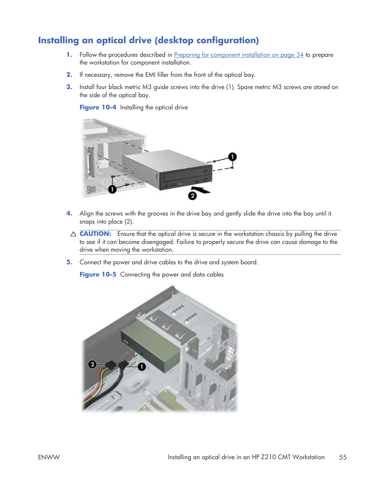### **Installing an optical drive (desktop configuration)**

- **1.** Follow the procedures described in Preparing for component installation on page 34 to prepare the workstation for component installation.
- **2.** If necessary, remove the EMI filler from the front of the optical bay.
- **3.** Install four black metric M3 guide screws into the drive (1). Spare metric M3 screws are stored on the side of the optical bay.

**Figure 10-4** Installing the optical drive



- **4.** Align the screws with the grooves in the drive bay and gently slide the drive into the bay until it snaps into place (2).
- △ **CAUTION:** Ensure that the optical drive is secure in the workstation chassis by pulling the drive to see if it can become disengaged. Failure to properly secure the drive can cause damage to the drive when moving the workstation.
- **5.** Connect the power and drive cables to the drive and system board.

**Figure 10-5** Connecting the power and data cables

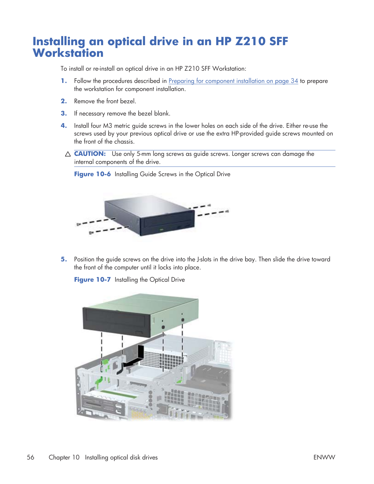### **Installing an optical drive in an HP Z210 SFF Workstation**

To install or re-install an optical drive in an HP Z210 SFF Workstation:

- **1.** Follow the procedures described in Preparing for component installation on page 34 to prepare the workstation for component installation.
- **2.** Remove the front bezel.
- **3.** If necessary remove the bezel blank.
- **4.** Install four M3 metric guide screws in the lower holes on each side of the drive. Either re-use the screws used by your previous optical drive or use the extra HP-provided guide screws mounted on the front of the chassis.
- △ **CAUTION:** Use only 5-mm long screws as quide screws. Longer screws can damage the internal components of the drive.

**Figure 10-6** Installing Guide Screws in the Optical Drive



**5.** Position the guide screws on the drive into the J-slots in the drive bay. Then slide the drive toward the front of the computer until it locks into place.

**Figure 10-7** Installing the Optical Drive

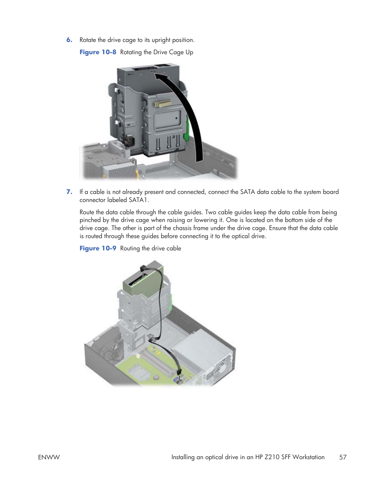**6.** Rotate the drive cage to its upright position.

**Figure 10-8** Rotating the Drive Cage Up



**7.** If a cable is not already present and connected, connect the SATA data cable to the system board connector labeled SATA1.

Route the data cable through the cable guides. Two cable guides keep the data cable from being pinched by the drive cage when raising or lowering it. One is located on the bottom side of the drive cage. The other is part of the chassis frame under the drive cage. Ensure that the data cable is routed through these guides before connecting it to the optical drive.

**Figure 10-9** Routing the drive cable

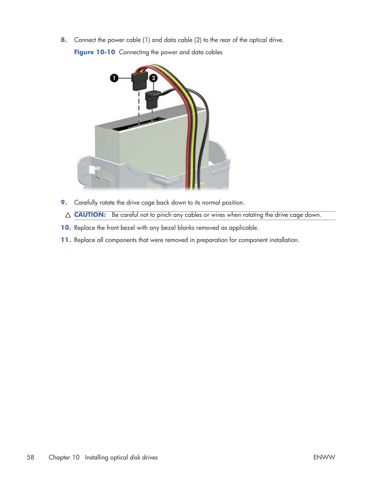**8.** Connect the power cable (1) and data cable (2) to the rear of the optical drive.

**Figure 10-10** Connecting the power and data cables



- **9.** Carefully rotate the drive cage back down to its normal position.
- $\triangle$  **CAUTION:** Be careful not to pinch any cables or wires when rotating the drive cage down.
- **10.** Replace the front bezel with any bezel blanks removed as applicable.
- **11.** Replace all components that were removed in preparation for component installation.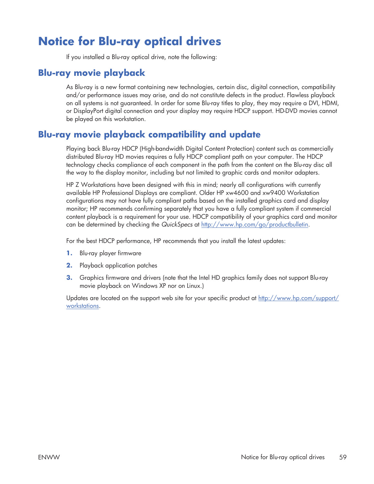# **Notice for Blu-ray optical drives**

If you installed a Blu-ray optical drive, note the following:

### **Blu-ray movie playback**

As Blu-ray is a new format containing new technologies, certain disc, digital connection, compatibility and/or performance issues may arise, and do not constitute defects in the product. Flawless playback on all systems is not guaranteed. In order for some Blu-ray titles to play, they may require a DVI, HDMI, or DisplayPort digital connection and your display may require HDCP support. HD-DVD movies cannot be played on this workstation.

### **Blu-ray movie playback compatibility and update**

Playing back Blu-ray HDCP (High-bandwidth Digital Content Protection) content such as commercially distributed Blu-ray HD movies requires a fully HDCP compliant path on your computer. The HDCP technology checks compliance of each component in the path from the content on the Blu-ray disc all the way to the display monitor, including but not limited to graphic cards and monitor adapters.

HP Z Workstations have been designed with this in mind; nearly all configurations with currently available HP Professional Displays are compliant. Older HP xw4600 and xw9400 Workstation configurations may not have fully compliant paths based on the installed graphics card and display monitor; HP recommends confirming separately that you have a fully compliant system if commercial content playback is a requirement for your use. HDCP compatibility of your graphics card and monitor can be determined by checking the *QuickSpecs* at http://www.hp.com/go/productbulletin.

For the best HDCP performance, HP recommends that you install the latest updates:

- **1.** Blu-ray player firmware
- **2.** Playback application patches
- **3.** Graphics firmware and drivers (note that the Intel HD graphics family does not support Blu-ray movie playback on Windows XP nor on Linux.)

Updates are located on the support web site for your specific product at http://www.hp.com/support/ workstations.